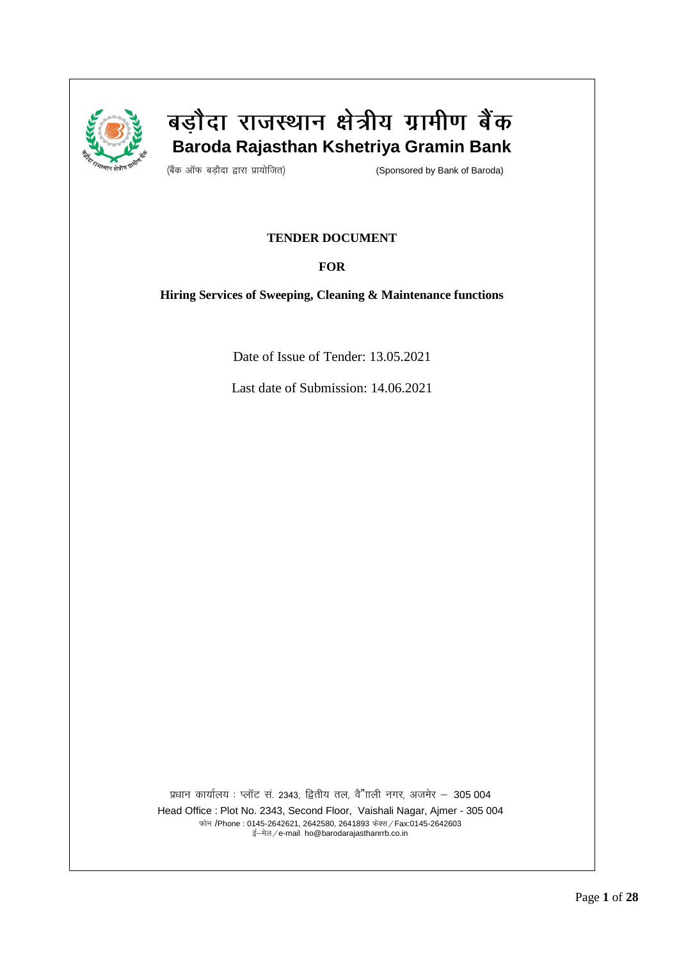

# बड़ौदा राजस्थान क्षेत्रीय ग्रामीण बैंक  **Baroda Rajasthan Kshetriya Gramin Bank**

(बैंक ऑफ बड़ौदा द्वारा प्रायोजित) बाल के साथ (Sponsored by Bank of Baroda)

## **TENDER DOCUMENT**

## **FOR**

**Hiring Services of Sweeping, Cleaning & Maintenance functions** 

Date of Issue of Tender: 13.05.2021

Last date of Submission: 14.06.2021

प्रधान कार्यालय: प्लॉट सं. 2343, द्वितीय तल, वै"ााली नगर, अजमेर - 305 004 Head Office : Plot No. 2343, Second Floor, Vaishali Nagar, Ajmer - 305 004 फोन /Phone : 0145-2642621, 2642580, 2641893 फेक्स / Fax:0145-2642603

ई-मेल/e-mail ho@barodarajasthanrrb.co.in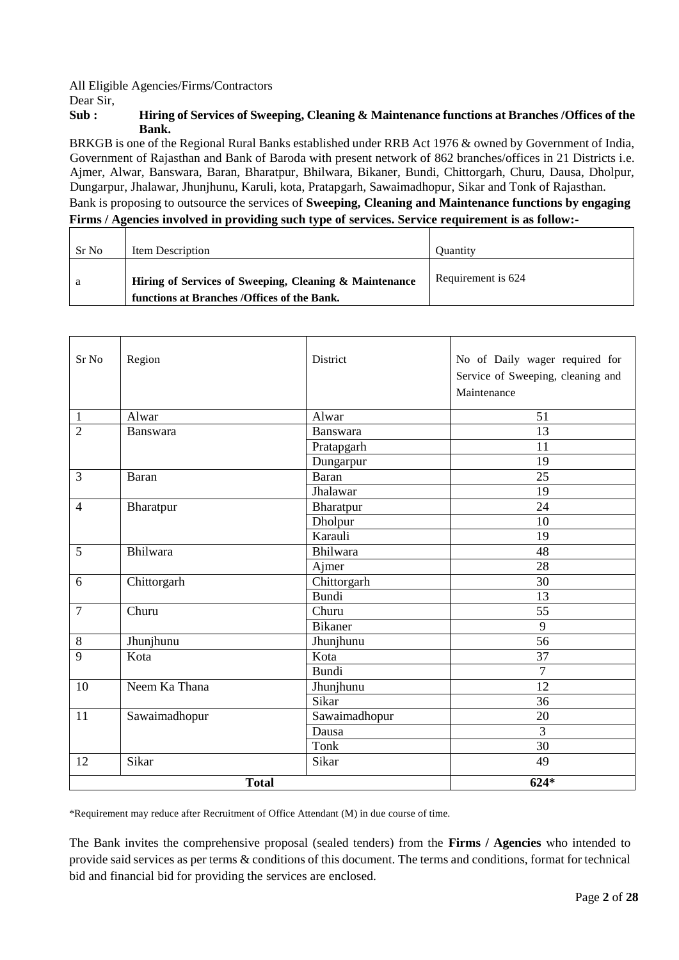All Eligible Agencies/Firms/Contractors

Dear Sir,

## **Sub : Hiring of Services of Sweeping, Cleaning & Maintenance functions at Branches /Offices of the Bank.**

BRKGB is one of the Regional Rural Banks established under RRB Act 1976 & owned by Government of India, Government of Rajasthan and Bank of Baroda with present network of 862 branches/offices in 21 Districts i.e. Ajmer, Alwar, Banswara, Baran, Bharatpur, Bhilwara, Bikaner, Bundi, Chittorgarh, Churu, Dausa, Dholpur, Dungarpur, Jhalawar, Jhunjhunu, Karuli, kota, Pratapgarh, Sawaimadhopur, Sikar and Tonk of Rajasthan. Bank is proposing to outsource the services of **Sweeping, Cleaning and Maintenance functions by engaging** 

## **Firms / Agencies involved in providing such type of services. Service requirement is as follow:-**

| Sr No | <b>Item Description</b>                                                                               | <b>Ouantity</b>    |
|-------|-------------------------------------------------------------------------------------------------------|--------------------|
| a     | Hiring of Services of Sweeping, Cleaning & Maintenance<br>functions at Branches /Offices of the Bank. | Requirement is 624 |

| Sr No          | Region          | District        | No of Daily wager required for    |
|----------------|-----------------|-----------------|-----------------------------------|
|                |                 |                 | Service of Sweeping, cleaning and |
|                |                 |                 | Maintenance                       |
| $\mathbf{1}$   | Alwar           | Alwar           | 51                                |
| $\overline{2}$ | <b>Banswara</b> | <b>Banswara</b> | 13                                |
|                |                 | Pratapgarh      | 11                                |
|                |                 | Dungarpur       | 19                                |
| $\overline{3}$ | Baran           | Baran           | 25                                |
|                |                 | Jhalawar        | 19                                |
| $\overline{4}$ | Bharatpur       | Bharatpur       | 24                                |
|                |                 | Dholpur         | 10                                |
|                |                 | Karauli         | 19                                |
| $\overline{5}$ | Bhilwara        | Bhilwara        | 48                                |
|                |                 | Ajmer           | 28                                |
| 6              | Chittorgarh     | Chittorgarh     | 30                                |
|                |                 | <b>Bundi</b>    | 13                                |
| $\overline{7}$ | Churu           | Churu           | 55                                |
|                |                 | <b>Bikaner</b>  | 9                                 |
| $8\,$          | Jhunjhunu       | Jhunjhunu       | 56                                |
| 9              | Kota            | Kota            | 37                                |
|                |                 | Bundi           | $\overline{7}$                    |
| 10             | Neem Ka Thana   | Jhunjhunu       | 12                                |
|                |                 | Sikar           | 36                                |
| 11             | Sawaimadhopur   | Sawaimadhopur   | 20                                |
|                |                 | Dausa           | 3                                 |
|                |                 | Tonk            | 30                                |
| 12             | Sikar           | Sikar           | 49                                |
|                | <b>Total</b>    | $624*$          |                                   |

\*Requirement may reduce after Recruitment of Office Attendant (M) in due course of time.

The Bank invites the comprehensive proposal (sealed tenders) from the **Firms / Agencies** who intended to provide said services as per terms & conditions of this document. The terms and conditions, format for technical bid and financial bid for providing the services are enclosed.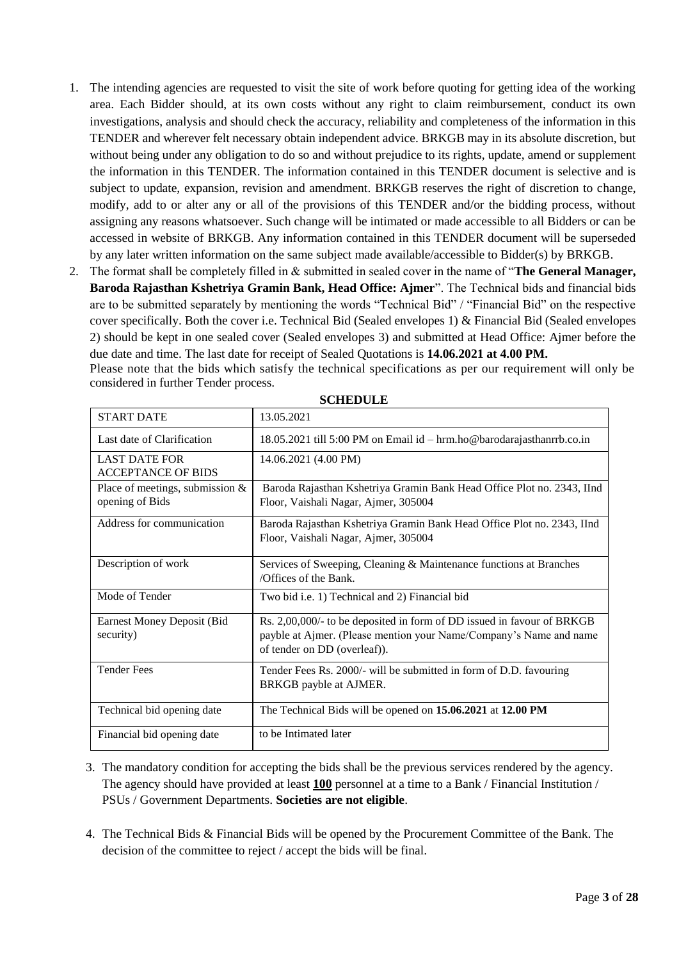- 1. The intending agencies are requested to visit the site of work before quoting for getting idea of the working area. Each Bidder should, at its own costs without any right to claim reimbursement, conduct its own investigations, analysis and should check the accuracy, reliability and completeness of the information in this TENDER and wherever felt necessary obtain independent advice. BRKGB may in its absolute discretion, but without being under any obligation to do so and without prejudice to its rights, update, amend or supplement the information in this TENDER. The information contained in this TENDER document is selective and is subject to update, expansion, revision and amendment. BRKGB reserves the right of discretion to change, modify, add to or alter any or all of the provisions of this TENDER and/or the bidding process, without assigning any reasons whatsoever. Such change will be intimated or made accessible to all Bidders or can be accessed in website of BRKGB. Any information contained in this TENDER document will be superseded by any later written information on the same subject made available/accessible to Bidder(s) by BRKGB.
- 2. The format shall be completely filled in & submitted in sealed cover in the name of "**The General Manager, Baroda Rajasthan Kshetriya Gramin Bank, Head Office: Ajmer**". The Technical bids and financial bids are to be submitted separately by mentioning the words "Technical Bid" / "Financial Bid" on the respective cover specifically. Both the cover i.e. Technical Bid (Sealed envelopes 1) & Financial Bid (Sealed envelopes 2) should be kept in one sealed cover (Sealed envelopes 3) and submitted at Head Office: Ajmer before the due date and time. The last date for receipt of Sealed Quotations is **14.06.2021 at 4.00 PM.** Please note that the bids which satisfy the technical specifications as per our requirement will only be considered in further Tender process.

| <b>START DATE</b>                                     | 13.05.2021                                                                                                                                                                   |
|-------------------------------------------------------|------------------------------------------------------------------------------------------------------------------------------------------------------------------------------|
| Last date of Clarification                            | 18.05.2021 till 5:00 PM on Email id - hrm.ho@barodarajasthanrrb.co.in                                                                                                        |
| <b>LAST DATE FOR</b><br><b>ACCEPTANCE OF BIDS</b>     | 14.06.2021 (4.00 PM)                                                                                                                                                         |
| Place of meetings, submission $\&$<br>opening of Bids | Baroda Rajasthan Kshetriya Gramin Bank Head Office Plot no. 2343, IInd<br>Floor, Vaishali Nagar, Ajmer, 305004                                                               |
| Address for communication                             | Baroda Rajasthan Kshetriya Gramin Bank Head Office Plot no. 2343, IInd<br>Floor, Vaishali Nagar, Ajmer, 305004                                                               |
| Description of work                                   | Services of Sweeping, Cleaning & Maintenance functions at Branches<br>/Offices of the Bank.                                                                                  |
| Mode of Tender                                        | Two bid <i>i.e.</i> 1) Technical and 2) Financial bid                                                                                                                        |
| <b>Earnest Money Deposit (Bid</b><br>security)        | Rs. 2,00,000/- to be deposited in form of DD issued in favour of BRKGB<br>payble at Ajmer. (Please mention your Name/Company's Name and name<br>of tender on DD (overleaf)). |
| <b>Tender Fees</b>                                    | Tender Fees Rs. 2000/- will be submitted in form of D.D. favouring<br>BRKGB payble at AJMER.                                                                                 |
| Technical bid opening date                            | The Technical Bids will be opened on 15.06.2021 at 12.00 PM                                                                                                                  |
| Financial bid opening date                            | to be Intimated later                                                                                                                                                        |

**SCHEDULE**

- 3. The mandatory condition for accepting the bids shall be the previous services rendered by the agency. The agency should have provided at least **100** personnel at a time to a Bank / Financial Institution / PSUs / Government Departments. **Societies are not eligible**.
- 4. The Technical Bids & Financial Bids will be opened by the Procurement Committee of the Bank. The decision of the committee to reject / accept the bids will be final.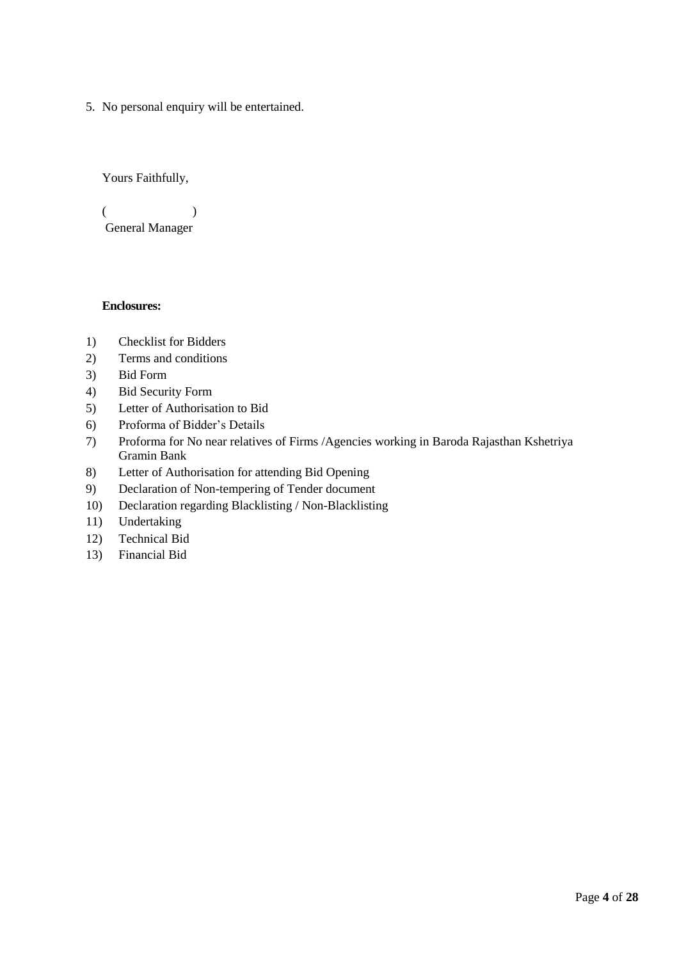5. No personal enquiry will be entertained.

Yours Faithfully,

 $($ General Manager

## **Enclosures:**

- 1) Checklist for Bidders
- 2) Terms and conditions
- 3) Bid Form
- 4) Bid Security Form
- 5) Letter of Authorisation to Bid
- 6) Proforma of Bidder's Details
- 7) Proforma for No near relatives of Firms /Agencies working in Baroda Rajasthan Kshetriya Gramin Bank
- 8) Letter of Authorisation for attending Bid Opening
- 9) Declaration of Non-tempering of Tender document
- 10) Declaration regarding Blacklisting / Non-Blacklisting
- 11) Undertaking
- 12) Technical Bid
- 13) Financial Bid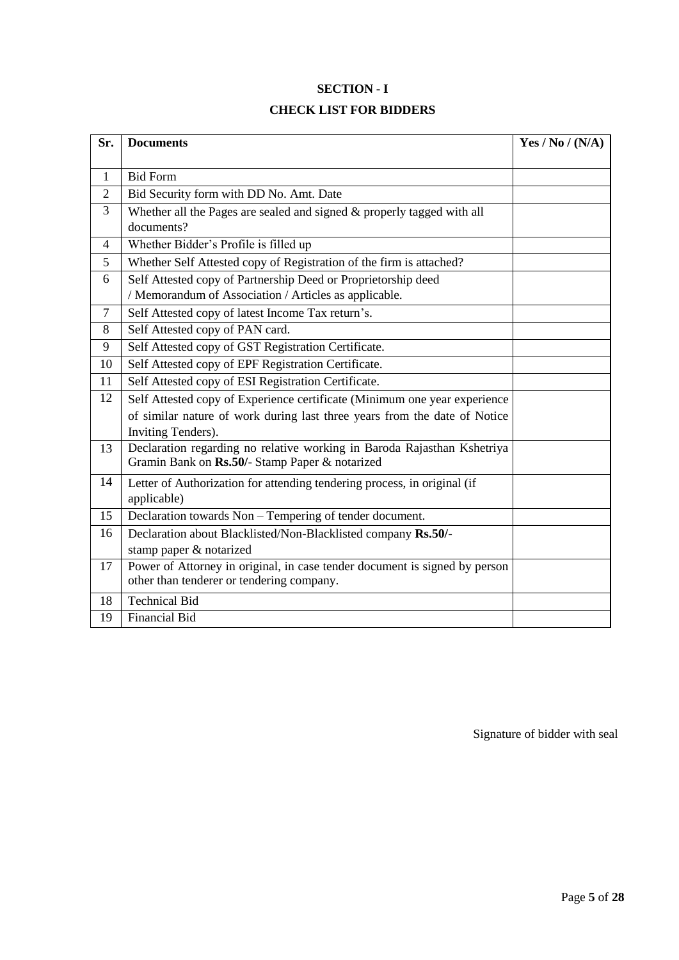## **SECTION - I**

## **CHECK LIST FOR BIDDERS**

| Sr.            | <b>Documents</b>                                                                                                          | Yes / No / $(N/A)$ |
|----------------|---------------------------------------------------------------------------------------------------------------------------|--------------------|
|                |                                                                                                                           |                    |
| $\mathbf{1}$   | <b>Bid Form</b>                                                                                                           |                    |
| $\overline{2}$ | Bid Security form with DD No. Amt. Date                                                                                   |                    |
| 3              | Whether all the Pages are sealed and signed $&$ properly tagged with all<br>documents?                                    |                    |
| $\overline{4}$ | Whether Bidder's Profile is filled up                                                                                     |                    |
| 5              | Whether Self Attested copy of Registration of the firm is attached?                                                       |                    |
| 6              | Self Attested copy of Partnership Deed or Proprietorship deed<br>/ Memorandum of Association / Articles as applicable.    |                    |
| $\overline{7}$ | Self Attested copy of latest Income Tax return's.                                                                         |                    |
| 8              | Self Attested copy of PAN card.                                                                                           |                    |
| 9              | Self Attested copy of GST Registration Certificate.                                                                       |                    |
| 10             | Self Attested copy of EPF Registration Certificate.                                                                       |                    |
| 11             | Self Attested copy of ESI Registration Certificate.                                                                       |                    |
| 12             | Self Attested copy of Experience certificate (Minimum one year experience                                                 |                    |
|                | of similar nature of work during last three years from the date of Notice<br>Inviting Tenders).                           |                    |
| 13             | Declaration regarding no relative working in Baroda Rajasthan Kshetriya<br>Gramin Bank on Rs.50/- Stamp Paper & notarized |                    |
| 14             | Letter of Authorization for attending tendering process, in original (if<br>applicable)                                   |                    |
| 15             | Declaration towards Non - Tempering of tender document.                                                                   |                    |
| 16             | Declaration about Blacklisted/Non-Blacklisted company Rs.50/-<br>stamp paper & notarized                                  |                    |
| 17             | Power of Attorney in original, in case tender document is signed by person<br>other than tenderer or tendering company.   |                    |
| 18             | <b>Technical Bid</b>                                                                                                      |                    |
| 19             | <b>Financial Bid</b>                                                                                                      |                    |

Signature of bidder with seal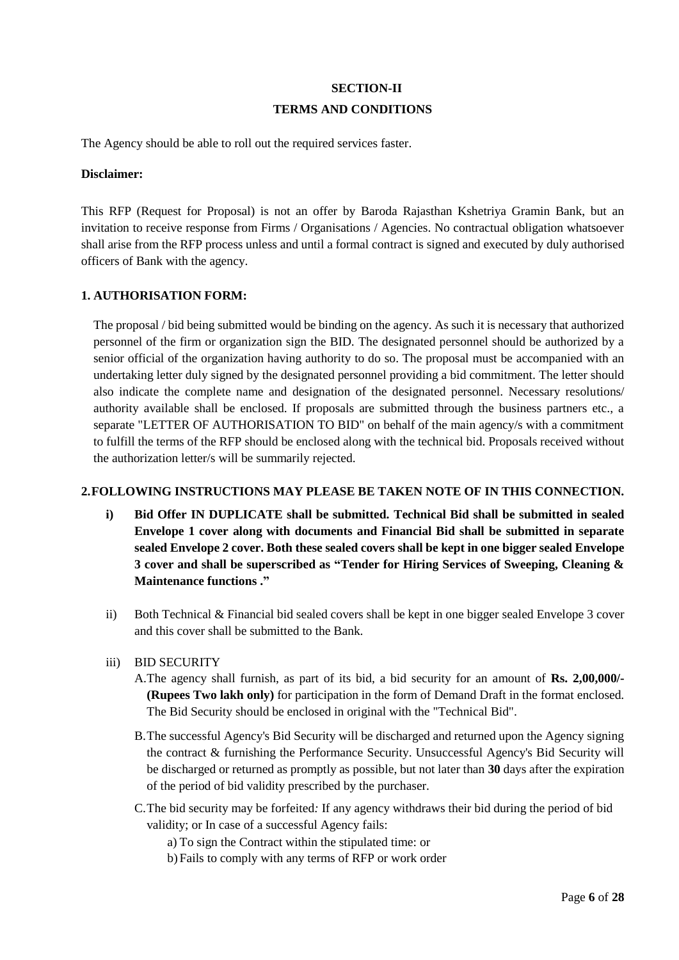# **SECTION-II TERMS AND CONDITIONS**

The Agency should be able to roll out the required services faster.

#### **Disclaimer:**

This RFP (Request for Proposal) is not an offer by Baroda Rajasthan Kshetriya Gramin Bank, but an invitation to receive response from Firms / Organisations / Agencies. No contractual obligation whatsoever shall arise from the RFP process unless and until a formal contract is signed and executed by duly authorised officers of Bank with the agency.

## **1. AUTHORISATION FORM:**

The proposal / bid being submitted would be binding on the agency. As such it is necessary that authorized personnel of the firm or organization sign the BID. The designated personnel should be authorized by a senior official of the organization having authority to do so. The proposal must be accompanied with an undertaking letter duly signed by the designated personnel providing a bid commitment. The letter should also indicate the complete name and designation of the designated personnel. Necessary resolutions/ authority available shall be enclosed. If proposals are submitted through the business partners etc., a separate "LETTER OF AUTHORISATION TO BID" on behalf of the main agency/s with a commitment to fulfill the terms of the RFP should be enclosed along with the technical bid. Proposals received without the authorization letter/s will be summarily rejected.

#### **2.FOLLOWING INSTRUCTIONS MAY PLEASE BE TAKEN NOTE OF IN THIS CONNECTION.**

- **i) Bid Offer IN DUPLICATE shall be submitted. Technical Bid shall be submitted in sealed Envelope 1 cover along with documents and Financial Bid shall be submitted in separate sealed Envelope 2 cover. Both these sealed covers shall be kept in one bigger sealed Envelope 3 cover and shall be superscribed as "Tender for Hiring Services of Sweeping, Cleaning & Maintenance functions ."**
- ii) Both Technical & Financial bid sealed covers shall be kept in one bigger sealed Envelope 3 cover and this cover shall be submitted to the Bank.
- iii) BID SECURITY
	- A.The agency shall furnish, as part of its bid, a bid security for an amount of **Rs. 2,00,000/- (Rupees Two lakh only)** for participation in the form of Demand Draft in the format enclosed. The Bid Security should be enclosed in original with the "Technical Bid".
	- B.The successful Agency's Bid Security will be discharged and returned upon the Agency signing the contract & furnishing the Performance Security. Unsuccessful Agency's Bid Security will be discharged or returned as promptly as possible, but not later than **30** days after the expiration of the period of bid validity prescribed by the purchaser.
	- C.The bid security may be forfeited*:* If any agency withdraws their bid during the period of bid validity; or In case of a successful Agency fails:

a) To sign the Contract within the stipulated time: or

b) Fails to comply with any terms of RFP or work order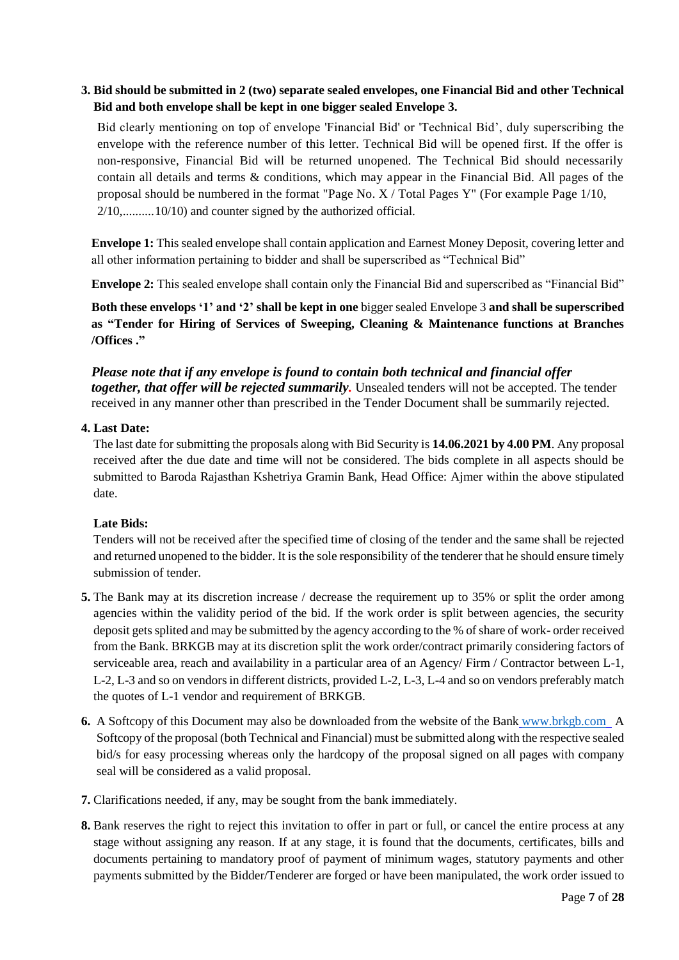## **3. Bid should be submitted in 2 (two) separate sealed envelopes, one Financial Bid and other Technical Bid and both envelope shall be kept in one bigger sealed Envelope 3.**

Bid clearly mentioning on top of envelope 'Financial Bid' or 'Technical Bid', duly superscribing the envelope with the reference number of this letter. Technical Bid will be opened first. If the offer is non-responsive, Financial Bid will be returned unopened. The Technical Bid should necessarily contain all details and terms & conditions, which may appear in the Financial Bid. All pages of the proposal should be numbered in the format "Page No. X / Total Pages Y" (For example Page 1/10, 2/10,..........10/10) and counter signed by the authorized official.

**Envelope 1:** This sealed envelope shall contain application and Earnest Money Deposit, covering letter and all other information pertaining to bidder and shall be superscribed as "Technical Bid"

**Envelope 2:** This sealed envelope shall contain only the Financial Bid and superscribed as "Financial Bid"

**Both these envelops '1' and '2' shall be kept in one** bigger sealed Envelope 3 **and shall be superscribed as "Tender for Hiring of Services of Sweeping, Cleaning & Maintenance functions at Branches /Offices ."**

*Please note that if any envelope is found to contain both technical and financial offer together, that offer will be rejected summarily.* Unsealed tenders will not be accepted. The tender received in any manner other than prescribed in the Tender Document shall be summarily rejected.

#### **4. Last Date:**

The last date for submitting the proposals along with Bid Security is **14.06.2021 by 4.00 PM**. Any proposal received after the due date and time will not be considered. The bids complete in all aspects should be submitted to Baroda Rajasthan Kshetriya Gramin Bank, Head Office: Ajmer within the above stipulated date.

## **Late Bids:**

Tenders will not be received after the specified time of closing of the tender and the same shall be rejected and returned unopened to the bidder. It is the sole responsibility of the tenderer that he should ensure timely submission of tender.

- **5.** The Bank may at its discretion increase / decrease the requirement up to 35% or split the order among agencies within the validity period of the bid. If the work order is split between agencies, the security deposit getssplited and may be submitted by the agency according to the % of share of work- order received from the Bank. BRKGB may at its discretion split the work order/contract primarily considering factors of serviceable area, reach and availability in a particular area of an Agency/ Firm / Contractor between L-1, L-2, L-3 and so on vendors in different districts, provided L-2, L-3, L-4 and so on vendors preferably match the quotes of L-1 vendor and requirement of BRKGB.
- **6.** A Softcopy of this Document may also be downloaded from the website of the Bank [www.brkgb.com](http://www.brkgb.com/) A Softcopy of the proposal (both Technical and Financial) must be submitted along with the respective sealed bid/s for easy processing whereas only the hardcopy of the proposal signed on all pages with company seal will be considered as a valid proposal.
- **7.** Clarifications needed, if any, may be sought from the bank immediately.
- **8.** Bank reserves the right to reject this invitation to offer in part or full, or cancel the entire process at any stage without assigning any reason. If at any stage, it is found that the documents, certificates, bills and documents pertaining to mandatory proof of payment of minimum wages, statutory payments and other payments submitted by the Bidder/Tenderer are forged or have been manipulated, the work order issued to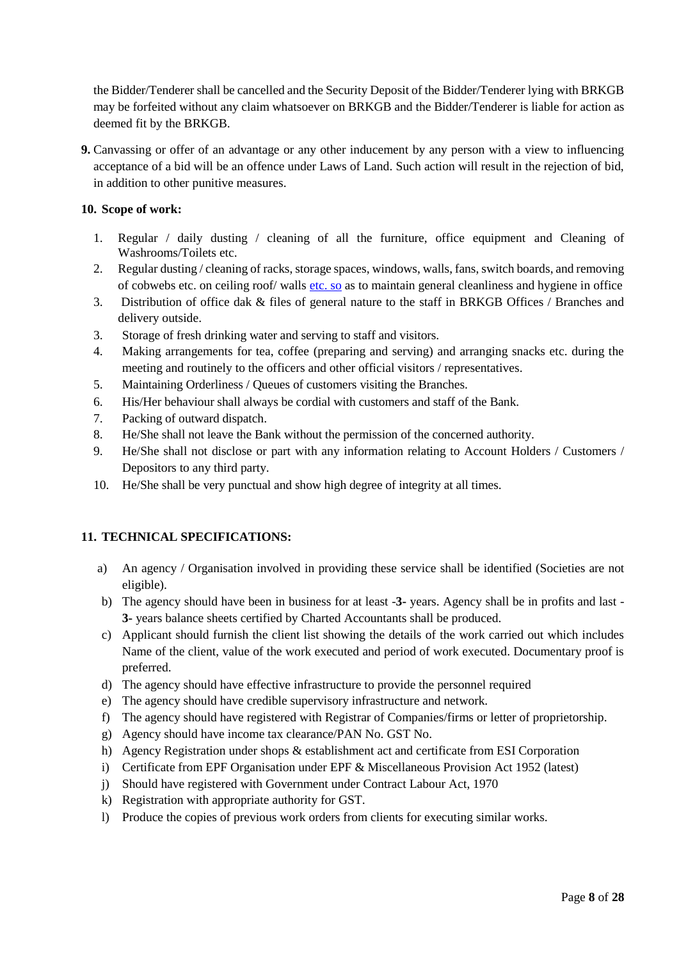the Bidder/Tenderer shall be cancelled and the Security Deposit of the Bidder/Tenderer lying with BRKGB may be forfeited without any claim whatsoever on BRKGB and the Bidder/Tenderer is liable for action as deemed fit by the BRKGB.

**9.** Canvassing or offer of an advantage or any other inducement by any person with a view to influencing acceptance of a bid will be an offence under Laws of Land. Such action will result in the rejection of bid, in addition to other punitive measures.

## **10. Scope of work:**

- 1. Regular / daily dusting / cleaning of all the furniture, office equipment and Cleaning of Washrooms/Toilets etc.
- 2. Regular dusting / cleaning of racks, storage spaces, windows, walls, fans, switch boards, and removing of cobwebs etc. on ceiling roof/ walls etc. so as to maintain general cleanliness and hygiene in office
- 3. Distribution of office dak & files of general nature to the staff in BRKGB Offices / Branches and delivery outside.
- 3. Storage of fresh drinking water and serving to staff and visitors.
- 4. Making arrangements for tea, coffee (preparing and serving) and arranging snacks etc. during the meeting and routinely to the officers and other official visitors / representatives.
- 5. Maintaining Orderliness / Queues of customers visiting the Branches.
- 6. His/Her behaviour shall always be cordial with customers and staff of the Bank.
- 7. Packing of outward dispatch.
- 8. He/She shall not leave the Bank without the permission of the concerned authority.
- 9. He/She shall not disclose or part with any information relating to Account Holders / Customers / Depositors to any third party.
- 10. He/She shall be very punctual and show high degree of integrity at all times.

## **11. TECHNICAL SPECIFICATIONS:**

- a) An agency / Organisation involved in providing these service shall be identified (Societies are not eligible).
- b) The agency should have been in business for at least -**3-** years. Agency shall be in profits and last **3-** years balance sheets certified by Charted Accountants shall be produced.
- c) Applicant should furnish the client list showing the details of the work carried out which includes Name of the client, value of the work executed and period of work executed. Documentary proof is preferred.
- d) The agency should have effective infrastructure to provide the personnel required
- e) The agency should have credible supervisory infrastructure and network.
- f) The agency should have registered with Registrar of Companies/firms or letter of proprietorship.
- g) Agency should have income tax clearance/PAN No. GST No.
- h) Agency Registration under shops & establishment act and certificate from ESI Corporation
- i) Certificate from EPF Organisation under EPF & Miscellaneous Provision Act 1952 (latest)
- j) Should have registered with Government under Contract Labour Act, 1970
- k) Registration with appropriate authority for GST.
- l) Produce the copies of previous work orders from clients for executing similar works.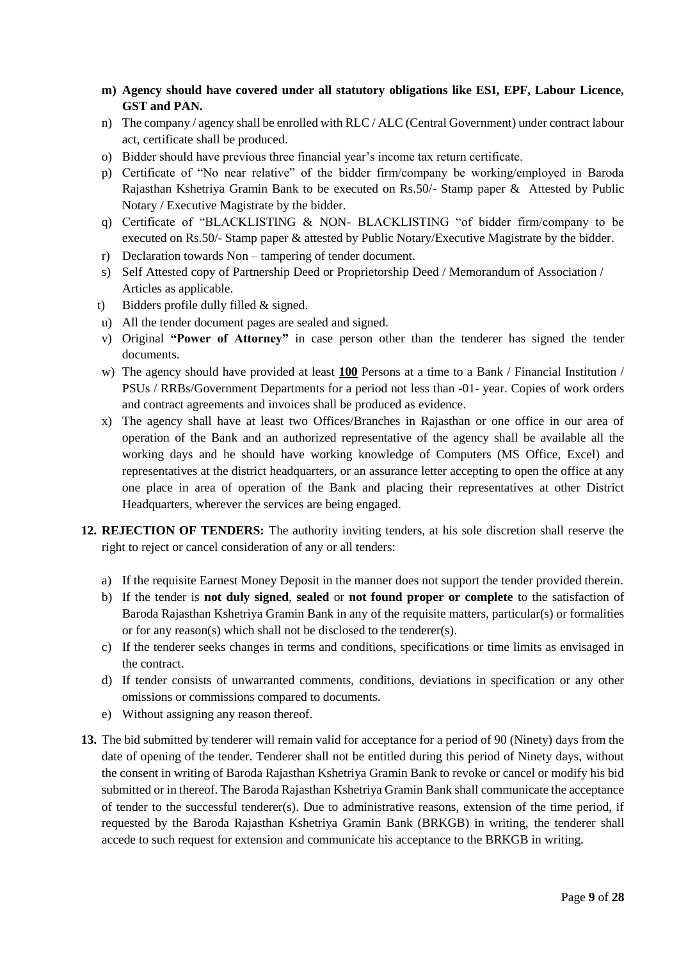- **m) Agency should have covered under all statutory obligations like ESI, EPF, Labour Licence, GST and PAN.**
- n) The company / agency shall be enrolled with RLC / ALC (Central Government) under contract labour act, certificate shall be produced.
- o) Bidder should have previous three financial year's income tax return certificate.
- p) Certificate of "No near relative" of the bidder firm/company be working/employed in Baroda Rajasthan Kshetriya Gramin Bank to be executed on Rs.50/- Stamp paper & Attested by Public Notary / Executive Magistrate by the bidder.
- q) Certificate of "BLACKLISTING & NON- BLACKLISTING "of bidder firm/company to be executed on Rs.50/- Stamp paper & attested by Public Notary/Executive Magistrate by the bidder.
- r) Declaration towards Non tampering of tender document.
- s) Self Attested copy of Partnership Deed or Proprietorship Deed / Memorandum of Association / Articles as applicable.
- t) Bidders profile dully filled & signed.
- u) All the tender document pages are sealed and signed.
- v) Original **"Power of Attorney"** in case person other than the tenderer has signed the tender documents.
- w) The agency should have provided at least **100** Persons at a time to a Bank / Financial Institution / PSUs / RRBs/Government Departments for a period not less than -01- year. Copies of work orders and contract agreements and invoices shall be produced as evidence.
- x) The agency shall have at least two Offices/Branches in Rajasthan or one office in our area of operation of the Bank and an authorized representative of the agency shall be available all the working days and he should have working knowledge of Computers (MS Office, Excel) and representatives at the district headquarters, or an assurance letter accepting to open the office at any one place in area of operation of the Bank and placing their representatives at other District Headquarters, wherever the services are being engaged.
- **12. REJECTION OF TENDERS:** The authority inviting tenders, at his sole discretion shall reserve the right to reject or cancel consideration of any or all tenders:
	- a) If the requisite Earnest Money Deposit in the manner does not support the tender provided therein.
	- b) If the tender is **not duly signed**, **sealed** or **not found proper or complete** to the satisfaction of Baroda Rajasthan Kshetriya Gramin Bank in any of the requisite matters, particular(s) or formalities or for any reason(s) which shall not be disclosed to the tenderer(s).
	- c) If the tenderer seeks changes in terms and conditions, specifications or time limits as envisaged in the contract.
	- d) If tender consists of unwarranted comments, conditions, deviations in specification or any other omissions or commissions compared to documents.
	- e) Without assigning any reason thereof.
- **13.** The bid submitted by tenderer will remain valid for acceptance for a period of 90 (Ninety) days from the date of opening of the tender. Tenderer shall not be entitled during this period of Ninety days, without the consent in writing of Baroda Rajasthan Kshetriya Gramin Bank to revoke or cancel or modify his bid submitted or in thereof. The Baroda Rajasthan Kshetriya Gramin Bank shall communicate the acceptance of tender to the successful tenderer(s). Due to administrative reasons, extension of the time period, if requested by the Baroda Rajasthan Kshetriya Gramin Bank (BRKGB) in writing, the tenderer shall accede to such request for extension and communicate his acceptance to the BRKGB in writing.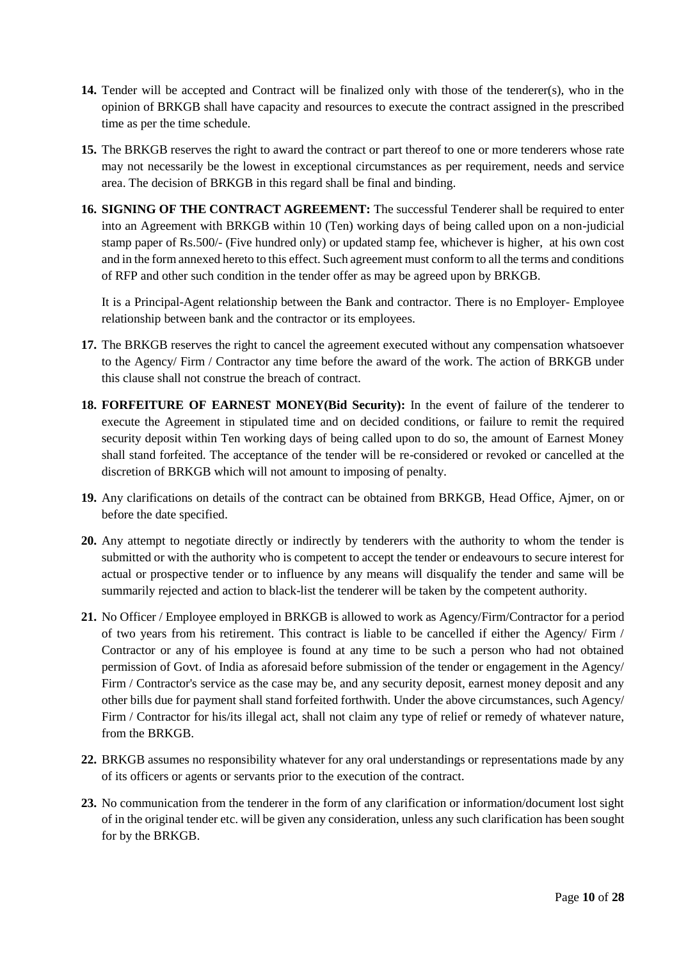- **14.** Tender will be accepted and Contract will be finalized only with those of the tenderer(s), who in the opinion of BRKGB shall have capacity and resources to execute the contract assigned in the prescribed time as per the time schedule.
- **15.** The BRKGB reserves the right to award the contract or part thereof to one or more tenderers whose rate may not necessarily be the lowest in exceptional circumstances as per requirement, needs and service area. The decision of BRKGB in this regard shall be final and binding.
- **16. SIGNING OF THE CONTRACT AGREEMENT:** The successful Tenderer shall be required to enter into an Agreement with BRKGB within 10 (Ten) working days of being called upon on a non-judicial stamp paper of Rs.500/- (Five hundred only) or updated stamp fee, whichever is higher, at his own cost and in the form annexed hereto to this effect. Such agreement must conform to all the terms and conditions of RFP and other such condition in the tender offer as may be agreed upon by BRKGB.

It is a Principal-Agent relationship between the Bank and contractor. There is no Employer- Employee relationship between bank and the contractor or its employees.

- **17.** The BRKGB reserves the right to cancel the agreement executed without any compensation whatsoever to the Agency/ Firm / Contractor any time before the award of the work. The action of BRKGB under this clause shall not construe the breach of contract.
- **18. FORFEITURE OF EARNEST MONEY(Bid Security):** In the event of failure of the tenderer to execute the Agreement in stipulated time and on decided conditions, or failure to remit the required security deposit within Ten working days of being called upon to do so, the amount of Earnest Money shall stand forfeited. The acceptance of the tender will be re-considered or revoked or cancelled at the discretion of BRKGB which will not amount to imposing of penalty.
- **19.** Any clarifications on details of the contract can be obtained from BRKGB, Head Office, Ajmer, on or before the date specified.
- **20.** Any attempt to negotiate directly or indirectly by tenderers with the authority to whom the tender is submitted or with the authority who is competent to accept the tender or endeavours to secure interest for actual or prospective tender or to influence by any means will disqualify the tender and same will be summarily rejected and action to black-list the tenderer will be taken by the competent authority.
- **21.** No Officer / Employee employed in BRKGB is allowed to work as Agency/Firm/Contractor for a period of two years from his retirement. This contract is liable to be cancelled if either the Agency/ Firm / Contractor or any of his employee is found at any time to be such a person who had not obtained permission of Govt. of India as aforesaid before submission of the tender or engagement in the Agency/ Firm / Contractor's service as the case may be, and any security deposit, earnest money deposit and any other bills due for payment shall stand forfeited forthwith. Under the above circumstances, such Agency/ Firm / Contractor for his/its illegal act, shall not claim any type of relief or remedy of whatever nature, from the BRKGB.
- **22.** BRKGB assumes no responsibility whatever for any oral understandings or representations made by any of its officers or agents or servants prior to the execution of the contract.
- **23.** No communication from the tenderer in the form of any clarification or information/document lost sight of in the original tender etc. will be given any consideration, unless any such clarification has been sought for by the BRKGB.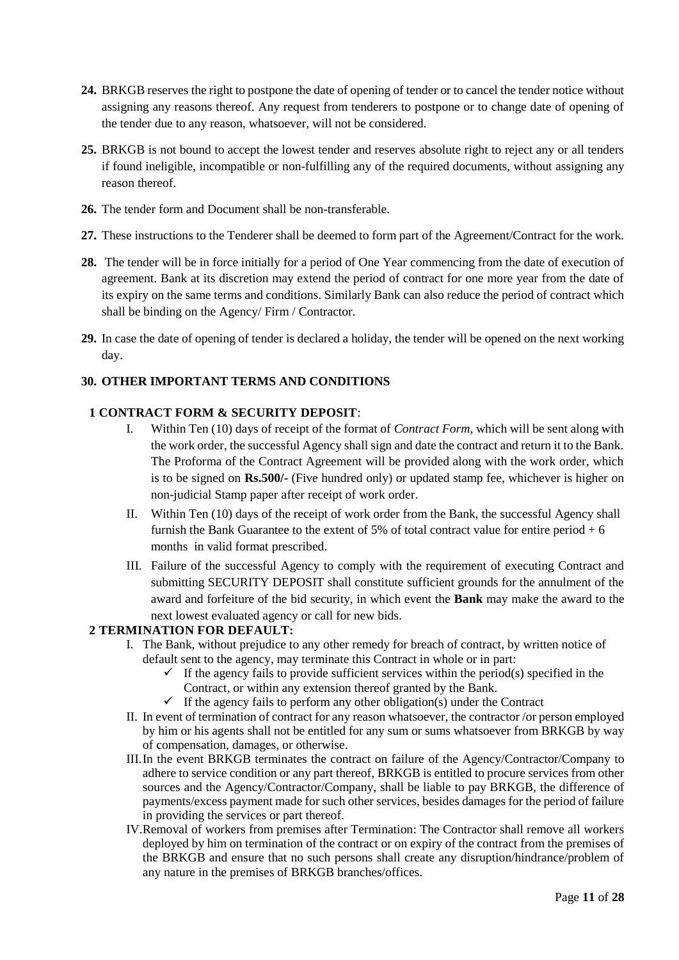- **24.** BRKGB reserves the right to postpone the date of opening of tender or to cancel the tender notice without assigning any reasons thereof. Any request from tenderers to postpone or to change date of opening of the tender due to any reason, whatsoever, will not be considered.
- **25.** BRKGB is not bound to accept the lowest tender and reserves absolute right to reject any or all tenders if found ineligible, incompatible or non-fulfilling any of the required documents, without assigning any reason thereof.
- **26.** The tender form and Document shall be non-transferable.
- **27.** These instructions to the Tenderer shall be deemed to form part of the Agreement/Contract for the work.
- **28.** The tender will be in force initially for a period of One Year commencing from the date of execution of agreement. Bank at its discretion may extend the period of contract for one more year from the date of its expiry on the same terms and conditions. Similarly Bank can also reduce the period of contract which shall be binding on the Agency/ Firm / Contractor.
- **29.** In case the date of opening of tender is declared a holiday, the tender will be opened on the next working day.

## **30. OTHER IMPORTANT TERMS AND CONDITIONS**

## **1 CONTRACT FORM & SECURITY DEPOSIT**:

- I. Within Ten (10) days of receipt of the format of *Contract Form*, which will be sent along with the work order, the successful Agency shall sign and date the contract and return it to the Bank. The Proforma of the Contract Agreement will be provided along with the work order, which is to be signed on **Rs.500/-** (Five hundred only) or updated stamp fee, whichever is higher on non-judicial Stamp paper after receipt of work order.
- II. Within Ten (10) days of the receipt of work order from the Bank, the successful Agency shall furnish the Bank Guarantee to the extent of 5% of total contract value for entire period  $+ 6$ months in valid format prescribed.
- III. Failure of the successful Agency to comply with the requirement of executing Contract and submitting SECURITY DEPOSIT shall constitute sufficient grounds for the annulment of the award and forfeiture of the bid security, in which event the **Bank** may make the award to the next lowest evaluated agency or call for new bids.

#### **2 TERMINATION FOR DEFAULT:**

- I. The Bank, without prejudice to any other remedy for breach of contract, by written notice of default sent to the agency, may terminate this Contract in whole or in part:
	- $\checkmark$  If the agency fails to provide sufficient services within the period(s) specified in the Contract, or within any extension thereof granted by the Bank.
	- $\checkmark$  If the agency fails to perform any other obligation(s) under the Contract
- II. In event of termination of contract for any reason whatsoever, the contractor /or person employed by him or his agents shall not be entitled for any sum or sums whatsoever from BRKGB by way of compensation, damages, or otherwise.
- III.In the event BRKGB terminates the contract on failure of the Agency/Contractor/Company to adhere to service condition or any part thereof, BRKGB is entitled to procure services from other sources and the Agency/Contractor/Company, shall be liable to pay BRKGB, the difference of payments/excess payment made for such other services, besides damages for the period of failure in providing the services or part thereof.
- IV.Removal of workers from premises after Termination: The Contractor shall remove all workers deployed by him on termination of the contract or on expiry of the contract from the premises of the BRKGB and ensure that no such persons shall create any disruption/hindrance/problem of any nature in the premises of BRKGB branches/offices.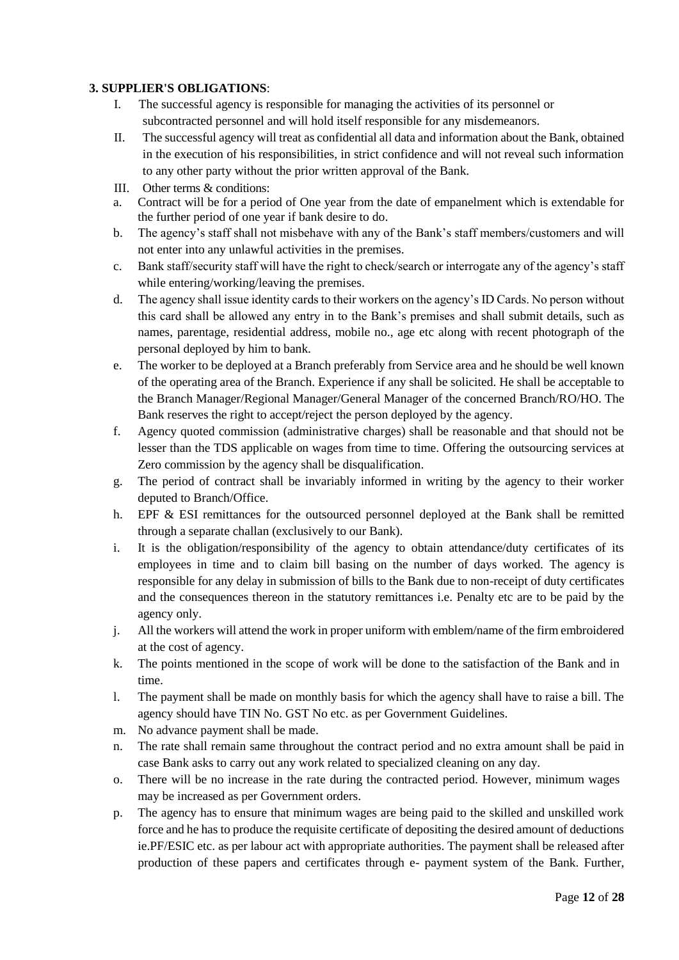## **3. SUPPLIER'S OBLIGATIONS**:

- I. The successful agency is responsible for managing the activities of its personnel or subcontracted personnel and will hold itself responsible for any misdemeanors.
- II. The successful agency will treat as confidential all data and information about the Bank, obtained in the execution of his responsibilities, in strict confidence and will not reveal such information to any other party without the prior written approval of the Bank.
- III. Other terms & conditions:
- a. Contract will be for a period of One year from the date of empanelment which is extendable for the further period of one year if bank desire to do.
- b. The agency's staff shall not misbehave with any of the Bank's staff members/customers and will not enter into any unlawful activities in the premises.
- c. Bank staff/security staff will have the right to check/search or interrogate any of the agency's staff while entering/working/leaving the premises.
- d. The agency shall issue identity cards to their workers on the agency's ID Cards. No person without this card shall be allowed any entry in to the Bank's premises and shall submit details, such as names, parentage, residential address, mobile no., age etc along with recent photograph of the personal deployed by him to bank.
- e. The worker to be deployed at a Branch preferably from Service area and he should be well known of the operating area of the Branch. Experience if any shall be solicited. He shall be acceptable to the Branch Manager/Regional Manager/General Manager of the concerned Branch/RO/HO. The Bank reserves the right to accept/reject the person deployed by the agency.
- f. Agency quoted commission (administrative charges) shall be reasonable and that should not be lesser than the TDS applicable on wages from time to time. Offering the outsourcing services at Zero commission by the agency shall be disqualification.
- g. The period of contract shall be invariably informed in writing by the agency to their worker deputed to Branch/Office.
- h. EPF & ESI remittances for the outsourced personnel deployed at the Bank shall be remitted through a separate challan (exclusively to our Bank).
- i. It is the obligation/responsibility of the agency to obtain attendance/duty certificates of its employees in time and to claim bill basing on the number of days worked. The agency is responsible for any delay in submission of bills to the Bank due to non-receipt of duty certificates and the consequences thereon in the statutory remittances i.e. Penalty etc are to be paid by the agency only.
- j. All the workers will attend the work in proper uniform with emblem/name of the firm embroidered at the cost of agency.
- k. The points mentioned in the scope of work will be done to the satisfaction of the Bank and in time.
- l. The payment shall be made on monthly basis for which the agency shall have to raise a bill. The agency should have TIN No. GST No etc. as per Government Guidelines.
- m. No advance payment shall be made.
- n. The rate shall remain same throughout the contract period and no extra amount shall be paid in case Bank asks to carry out any work related to specialized cleaning on any day.
- o. There will be no increase in the rate during the contracted period. However, minimum wages may be increased as per Government orders.
- p. The agency has to ensure that minimum wages are being paid to the skilled and unskilled work force and he has to produce the requisite certificate of depositing the desired amount of deductions ie.PF/ESIC etc. as per labour act with appropriate authorities. The payment shall be released after production of these papers and certificates through e- payment system of the Bank. Further,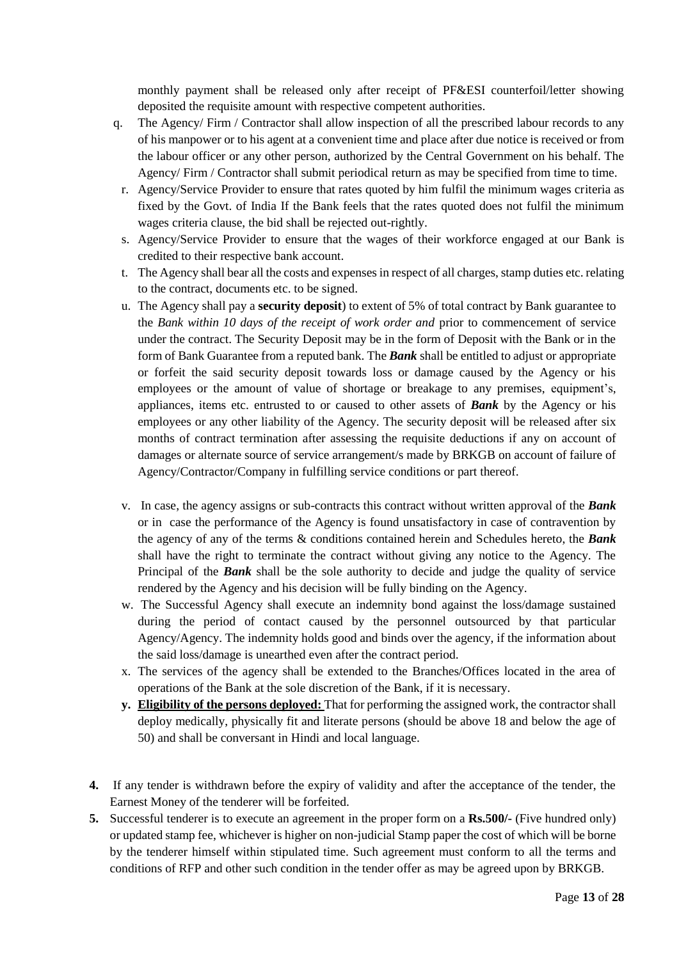monthly payment shall be released only after receipt of PF&ESI counterfoil/letter showing deposited the requisite amount with respective competent authorities.

- q. The Agency/ Firm / Contractor shall allow inspection of all the prescribed labour records to any of his manpower or to his agent at a convenient time and place after due notice is received or from the labour officer or any other person, authorized by the Central Government on his behalf. The Agency/ Firm / Contractor shall submit periodical return as may be specified from time to time.
	- r. Agency/Service Provider to ensure that rates quoted by him fulfil the minimum wages criteria as fixed by the Govt. of India If the Bank feels that the rates quoted does not fulfil the minimum wages criteria clause, the bid shall be rejected out-rightly.
	- s. Agency/Service Provider to ensure that the wages of their workforce engaged at our Bank is credited to their respective bank account.
	- t. The Agency shall bear all the costs and expenses in respect of all charges, stamp duties etc. relating to the contract, documents etc. to be signed.
	- u. The Agency shall pay a **security deposit**) to extent of 5% of total contract by Bank guarantee to the *Bank within 10 days of the receipt of work order and* prior to commencement of service under the contract. The Security Deposit may be in the form of Deposit with the Bank or in the form of Bank Guarantee from a reputed bank. The *Bank* shall be entitled to adjust or appropriate or forfeit the said security deposit towards loss or damage caused by the Agency or his employees or the amount of value of shortage or breakage to any premises, equipment's, appliances, items etc. entrusted to or caused to other assets of *Bank* by the Agency or his employees or any other liability of the Agency. The security deposit will be released after six months of contract termination after assessing the requisite deductions if any on account of damages or alternate source of service arrangement/s made by BRKGB on account of failure of Agency/Contractor/Company in fulfilling service conditions or part thereof.
	- v. In case, the agency assigns or sub-contracts this contract without written approval of the *Bank*  or in case the performance of the Agency is found unsatisfactory in case of contravention by the agency of any of the terms & conditions contained herein and Schedules hereto, the *Bank*  shall have the right to terminate the contract without giving any notice to the Agency. The Principal of the *Bank* shall be the sole authority to decide and judge the quality of service rendered by the Agency and his decision will be fully binding on the Agency.
	- w. The Successful Agency shall execute an indemnity bond against the loss/damage sustained during the period of contact caused by the personnel outsourced by that particular Agency/Agency. The indemnity holds good and binds over the agency, if the information about the said loss/damage is unearthed even after the contract period.
	- x. The services of the agency shall be extended to the Branches/Offices located in the area of operations of the Bank at the sole discretion of the Bank, if it is necessary.
	- **y. Eligibility of the persons deployed:** That for performing the assigned work, the contractor shall deploy medically, physically fit and literate persons (should be above 18 and below the age of 50) and shall be conversant in Hindi and local language.
- **4.** If any tender is withdrawn before the expiry of validity and after the acceptance of the tender, the Earnest Money of the tenderer will be forfeited.
- **5.** Successful tenderer is to execute an agreement in the proper form on a **Rs.500/-** (Five hundred only) or updated stamp fee, whichever is higher on non-judicial Stamp paper the cost of which will be borne by the tenderer himself within stipulated time. Such agreement must conform to all the terms and conditions of RFP and other such condition in the tender offer as may be agreed upon by BRKGB.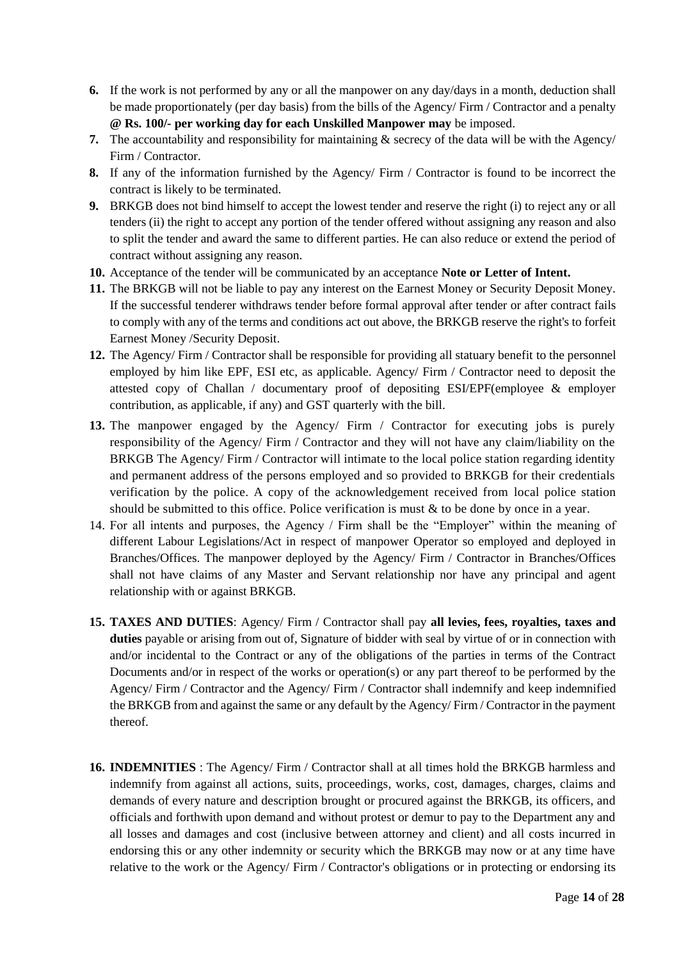- **6.** If the work is not performed by any or all the manpower on any day/days in a month, deduction shall be made proportionately (per day basis) from the bills of the Agency/ Firm / Contractor and a penalty **@ Rs. 100/- per working day for each Unskilled Manpower may** be imposed.
- **7.** The accountability and responsibility for maintaining & secrecy of the data will be with the Agency/ Firm / Contractor.
- **8.** If any of the information furnished by the Agency/ Firm / Contractor is found to be incorrect the contract is likely to be terminated.
- **9.** BRKGB does not bind himself to accept the lowest tender and reserve the right (i) to reject any or all tenders (ii) the right to accept any portion of the tender offered without assigning any reason and also to split the tender and award the same to different parties. He can also reduce or extend the period of contract without assigning any reason.
- **10.** Acceptance of the tender will be communicated by an acceptance **Note or Letter of Intent.**
- **11.** The BRKGB will not be liable to pay any interest on the Earnest Money or Security Deposit Money. If the successful tenderer withdraws tender before formal approval after tender or after contract fails to comply with any of the terms and conditions act out above, the BRKGB reserve the right's to forfeit Earnest Money /Security Deposit.
- **12.** The Agency/ Firm / Contractor shall be responsible for providing all statuary benefit to the personnel employed by him like EPF, ESI etc, as applicable. Agency/ Firm / Contractor need to deposit the attested copy of Challan / documentary proof of depositing ESI/EPF(employee & employer contribution, as applicable, if any) and GST quarterly with the bill.
- **13.** The manpower engaged by the Agency/ Firm / Contractor for executing jobs is purely responsibility of the Agency/ Firm / Contractor and they will not have any claim/liability on the BRKGB The Agency/ Firm / Contractor will intimate to the local police station regarding identity and permanent address of the persons employed and so provided to BRKGB for their credentials verification by the police. A copy of the acknowledgement received from local police station should be submitted to this office. Police verification is must & to be done by once in a year.
- 14. For all intents and purposes, the Agency / Firm shall be the "Employer" within the meaning of different Labour Legislations/Act in respect of manpower Operator so employed and deployed in Branches/Offices. The manpower deployed by the Agency/ Firm / Contractor in Branches/Offices shall not have claims of any Master and Servant relationship nor have any principal and agent relationship with or against BRKGB.
- **15. TAXES AND DUTIES**: Agency/ Firm / Contractor shall pay **all levies, fees, royalties, taxes and duties** payable or arising from out of, Signature of bidder with seal by virtue of or in connection with and/or incidental to the Contract or any of the obligations of the parties in terms of the Contract Documents and/or in respect of the works or operation(s) or any part thereof to be performed by the Agency/ Firm / Contractor and the Agency/ Firm / Contractor shall indemnify and keep indemnified the BRKGB from and against the same or any default by the Agency/ Firm / Contractor in the payment thereof.
- **16. INDEMNITIES** : The Agency/ Firm / Contractor shall at all times hold the BRKGB harmless and indemnify from against all actions, suits, proceedings, works, cost, damages, charges, claims and demands of every nature and description brought or procured against the BRKGB, its officers, and officials and forthwith upon demand and without protest or demur to pay to the Department any and all losses and damages and cost (inclusive between attorney and client) and all costs incurred in endorsing this or any other indemnity or security which the BRKGB may now or at any time have relative to the work or the Agency/ Firm / Contractor's obligations or in protecting or endorsing its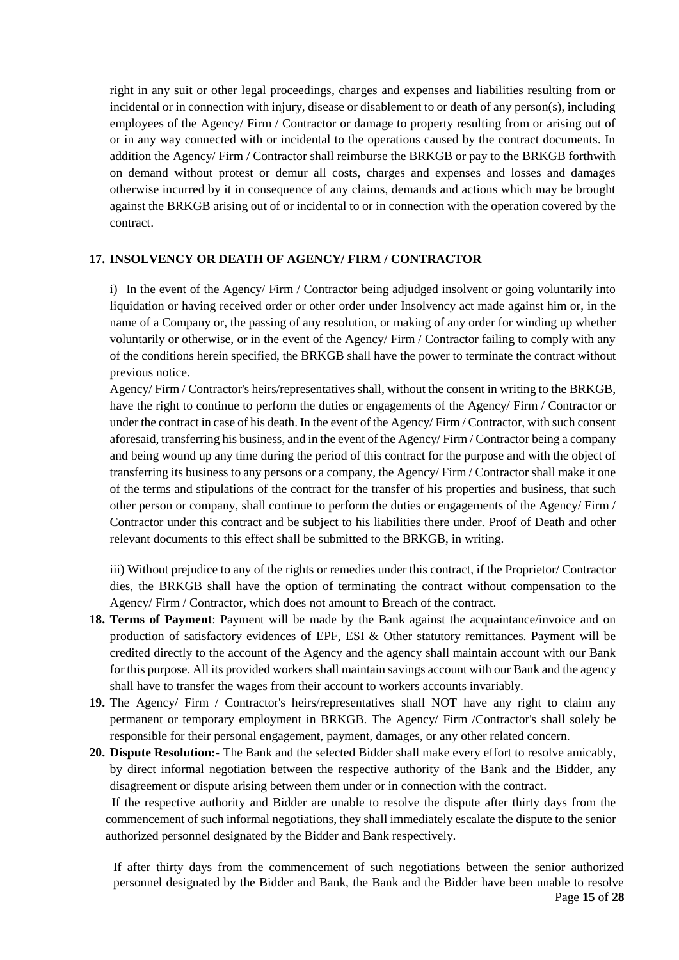right in any suit or other legal proceedings, charges and expenses and liabilities resulting from or incidental or in connection with injury, disease or disablement to or death of any person(s), including employees of the Agency/ Firm / Contractor or damage to property resulting from or arising out of or in any way connected with or incidental to the operations caused by the contract documents. In addition the Agency/ Firm / Contractor shall reimburse the BRKGB or pay to the BRKGB forthwith on demand without protest or demur all costs, charges and expenses and losses and damages otherwise incurred by it in consequence of any claims, demands and actions which may be brought against the BRKGB arising out of or incidental to or in connection with the operation covered by the contract.

#### **17. INSOLVENCY OR DEATH OF AGENCY/ FIRM / CONTRACTOR**

i) In the event of the Agency/ Firm / Contractor being adjudged insolvent or going voluntarily into liquidation or having received order or other order under Insolvency act made against him or, in the name of a Company or, the passing of any resolution, or making of any order for winding up whether voluntarily or otherwise, or in the event of the Agency/ Firm / Contractor failing to comply with any of the conditions herein specified, the BRKGB shall have the power to terminate the contract without previous notice.

Agency/ Firm / Contractor's heirs/representatives shall, without the consent in writing to the BRKGB, have the right to continue to perform the duties or engagements of the Agency/ Firm / Contractor or under the contract in case of his death. In the event of the Agency/ Firm / Contractor, with such consent aforesaid, transferring his business, and in the event of the Agency/ Firm / Contractor being a company and being wound up any time during the period of this contract for the purpose and with the object of transferring its business to any persons or a company, the Agency/ Firm / Contractor shall make it one of the terms and stipulations of the contract for the transfer of his properties and business, that such other person or company, shall continue to perform the duties or engagements of the Agency/ Firm / Contractor under this contract and be subject to his liabilities there under. Proof of Death and other relevant documents to this effect shall be submitted to the BRKGB, in writing.

iii) Without prejudice to any of the rights or remedies under this contract, if the Proprietor/ Contractor dies, the BRKGB shall have the option of terminating the contract without compensation to the Agency/ Firm / Contractor, which does not amount to Breach of the contract.

- **18. Terms of Payment**: Payment will be made by the Bank against the acquaintance/invoice and on production of satisfactory evidences of EPF, ESI & Other statutory remittances. Payment will be credited directly to the account of the Agency and the agency shall maintain account with our Bank for this purpose. All its provided workers shall maintain savings account with our Bank and the agency shall have to transfer the wages from their account to workers accounts invariably.
- **19.** The Agency/ Firm / Contractor's heirs/representatives shall NOT have any right to claim any permanent or temporary employment in BRKGB. The Agency/ Firm /Contractor's shall solely be responsible for their personal engagement, payment, damages, or any other related concern.
- **20. Dispute Resolution:-** The Bank and the selected Bidder shall make every effort to resolve amicably, by direct informal negotiation between the respective authority of the Bank and the Bidder, any disagreement or dispute arising between them under or in connection with the contract.

 If the respective authority and Bidder are unable to resolve the dispute after thirty days from the commencement of such informal negotiations, they shall immediately escalate the dispute to the senior authorized personnel designated by the Bidder and Bank respectively.

If after thirty days from the commencement of such negotiations between the senior authorized personnel designated by the Bidder and Bank, the Bank and the Bidder have been unable to resolve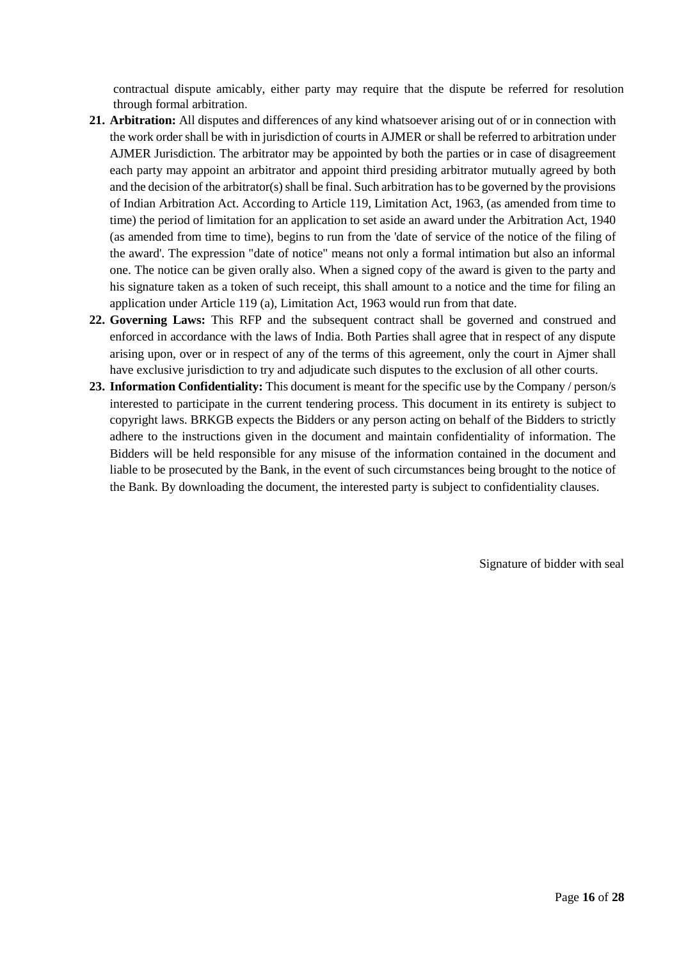contractual dispute amicably, either party may require that the dispute be referred for resolution through formal arbitration.

- **21. Arbitration:** All disputes and differences of any kind whatsoever arising out of or in connection with the work order shall be with in jurisdiction of courts in AJMER or shall be referred to arbitration under AJMER Jurisdiction. The arbitrator may be appointed by both the parties or in case of disagreement each party may appoint an arbitrator and appoint third presiding arbitrator mutually agreed by both and the decision of the arbitrator(s) shall be final. Such arbitration has to be governed by the provisions of Indian Arbitration Act. According to Article 119, Limitation Act, 1963, (as amended from time to time) the period of limitation for an application to set aside an award under the Arbitration Act, 1940 (as amended from time to time), begins to run from the 'date of service of the notice of the filing of the award'. The expression "date of notice" means not only a formal intimation but also an informal one. The notice can be given orally also. When a signed copy of the award is given to the party and his signature taken as a token of such receipt, this shall amount to a notice and the time for filing an application under Article 119 (a), Limitation Act, 1963 would run from that date.
- **22. Governing Laws:** This RFP and the subsequent contract shall be governed and construed and enforced in accordance with the laws of India. Both Parties shall agree that in respect of any dispute arising upon, over or in respect of any of the terms of this agreement, only the court in Ajmer shall have exclusive jurisdiction to try and adjudicate such disputes to the exclusion of all other courts.
- **23. Information Confidentiality:** This document is meant for the specific use by the Company / person/s interested to participate in the current tendering process. This document in its entirety is subject to copyright laws. BRKGB expects the Bidders or any person acting on behalf of the Bidders to strictly adhere to the instructions given in the document and maintain confidentiality of information. The Bidders will be held responsible for any misuse of the information contained in the document and liable to be prosecuted by the Bank, in the event of such circumstances being brought to the notice of the Bank. By downloading the document, the interested party is subject to confidentiality clauses.

Signature of bidder with seal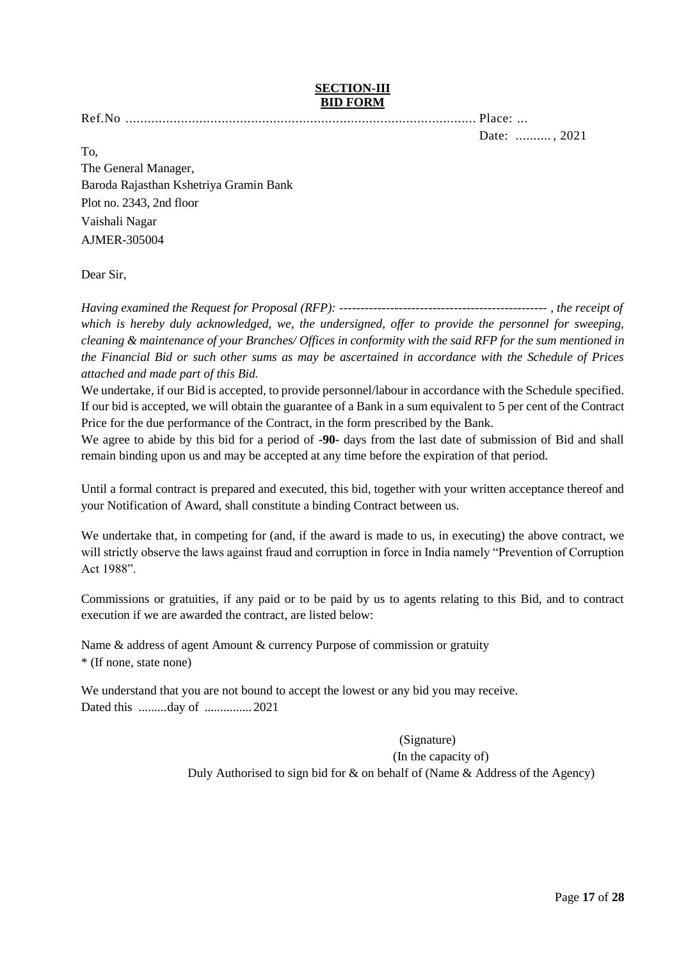#### **SECTION-III BID FORM**

Ref.No ............................................................................................... Place: ...

Date: .......... , 2021

To, The General Manager, Baroda Rajasthan Kshetriya Gramin Bank Plot no. 2343, 2nd floor Vaishali Nagar AJMER-305004

## Dear Sir,

*Having examined the Request for Proposal (RFP): ------------------------------------------------- , the receipt of which is hereby duly acknowledged, we, the undersigned, offer to provide the personnel for sweeping, cleaning & maintenance of your Branches/ Offices in conformity with the said RFP for the sum mentioned in the Financial Bid or such other sums as may be ascertained in accordance with the Schedule of Prices attached and made part of this Bid.*

We undertake, if our Bid is accepted, to provide personnel/labour in accordance with the Schedule specified. If our bid is accepted, we will obtain the guarantee of a Bank in a sum equivalent to 5 per cent of the Contract Price for the due performance of the Contract, in the form prescribed by the Bank.

We agree to abide by this bid for a period of **-90-** days from the last date of submission of Bid and shall remain binding upon us and may be accepted at any time before the expiration of that period.

Until a formal contract is prepared and executed, this bid, together with your written acceptance thereof and your Notification of Award, shall constitute a binding Contract between us.

We undertake that, in competing for (and, if the award is made to us, in executing) the above contract, we will strictly observe the laws against fraud and corruption in force in India namely "Prevention of Corruption Act 1988".

Commissions or gratuities, if any paid or to be paid by us to agents relating to this Bid, and to contract execution if we are awarded the contract, are listed below:

Name & address of agent Amount & currency Purpose of commission or gratuity \* (If none, state none)

We understand that you are not bound to accept the lowest or any bid you may receive. Dated this .........day of ............... 2021

(Signature)

(In the capacity of)

Duly Authorised to sign bid for & on behalf of (Name & Address of the Agency)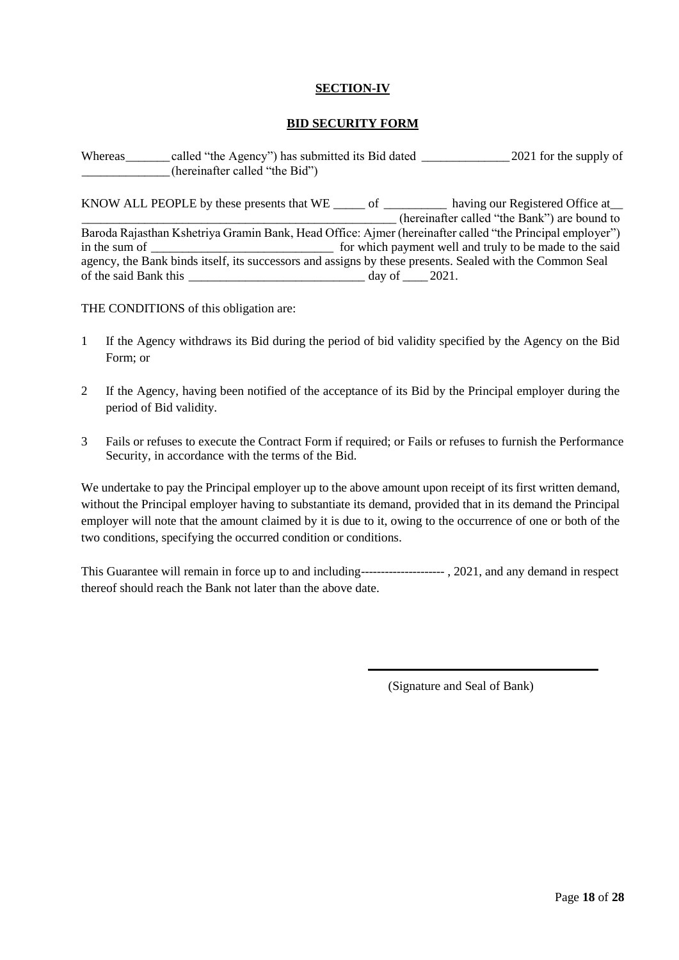## **SECTION-IV**

#### **BID SECURITY FORM**

Whereas called "the Agency") has submitted its Bid dated 2021 for the supply of \_\_\_\_\_\_\_\_\_\_\_\_\_\_(hereinafter called "the Bid")

KNOW ALL PEOPLE by these presents that WE \_\_\_\_\_\_ of \_\_\_\_\_\_\_\_\_\_\_ having our Registered Office at\_\_\_ \_\_\_\_\_\_\_\_\_\_\_\_\_\_\_\_\_\_\_\_\_\_\_\_\_\_\_\_\_\_\_\_\_\_\_\_\_\_\_\_\_\_\_\_\_\_\_\_\_\_ (hereinafter called "the Bank") are bound to Baroda Rajasthan Kshetriya Gramin Bank, Head Office: Ajmer (hereinafter called "the Principal employer") in the sum of \_\_\_\_\_\_\_\_\_\_\_\_\_\_\_\_\_\_\_\_\_\_\_\_\_\_\_\_\_ for which payment well and truly to be made to the said agency, the Bank binds itself, its successors and assigns by these presents. Sealed with the Common Seal of the said Bank this \_\_\_\_\_\_\_\_\_\_\_\_\_\_\_\_\_\_\_\_\_\_\_\_\_\_\_\_ day of \_\_\_\_ 2021.

THE CONDITIONS of this obligation are:

- 1 If the Agency withdraws its Bid during the period of bid validity specified by the Agency on the Bid Form; or
- 2 If the Agency, having been notified of the acceptance of its Bid by the Principal employer during the period of Bid validity.
- 3 Fails or refuses to execute the Contract Form if required; or Fails or refuses to furnish the Performance Security, in accordance with the terms of the Bid.

We undertake to pay the Principal employer up to the above amount upon receipt of its first written demand, without the Principal employer having to substantiate its demand, provided that in its demand the Principal employer will note that the amount claimed by it is due to it, owing to the occurrence of one or both of the two conditions, specifying the occurred condition or conditions.

This Guarantee will remain in force up to and including--------------------- , 2021, and any demand in respect thereof should reach the Bank not later than the above date.

(Signature and Seal of Bank)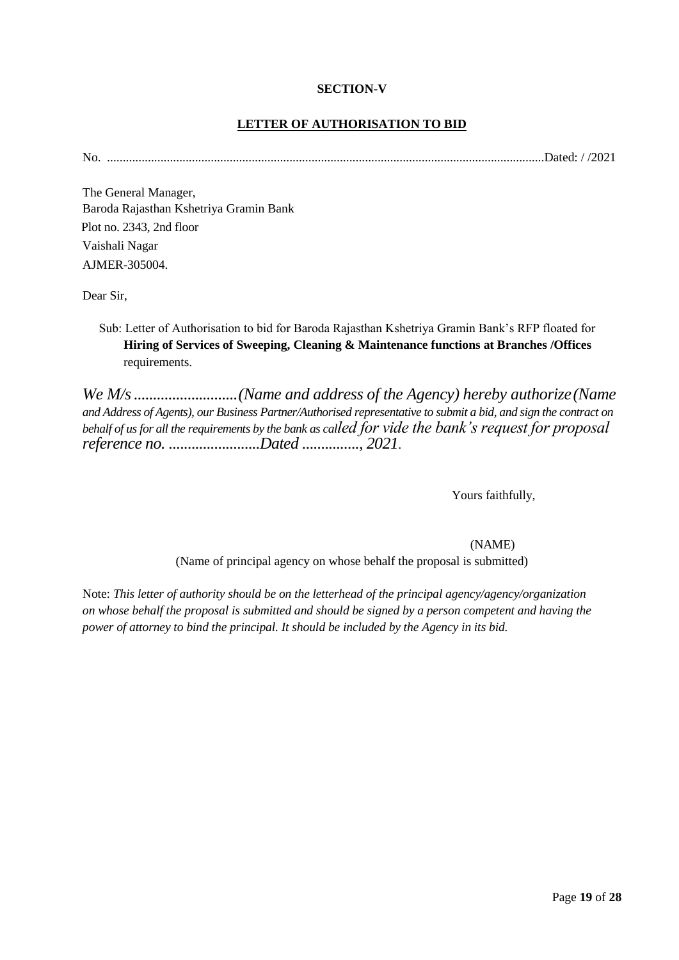#### **SECTION-V**

## **LETTER OF AUTHORISATION TO BID**

No. ...........................................................................................................................................Dated: / /2021

The General Manager, Baroda Rajasthan Kshetriya Gramin Bank Plot no. 2343, 2nd floor Vaishali Nagar AJMER-305004.

Dear Sir,

Sub: Letter of Authorisation to bid for Baroda Rajasthan Kshetriya Gramin Bank's RFP floated for **Hiring of Services of Sweeping, Cleaning & Maintenance functions at Branches /Offices**  requirements.

*We M/s...........................(Name and address of the Agency) hereby authorize(Name and Address of Agents), our Business Partner/Authorised representative to submit a bid, and sign the contract on behalf of us for all the requirements by the bank as called for vide the bank's request for proposal reference no. ........................Dated ..............., 2021.*

Yours faithfully,

(NAME)

(Name of principal agency on whose behalf the proposal is submitted)

Note: *This letter of authority should be on the letterhead of the principal agency/agency/organization on whose behalf the proposal is submitted and should be signed by a person competent and having the power of attorney to bind the principal. It should be included by the Agency in its bid.*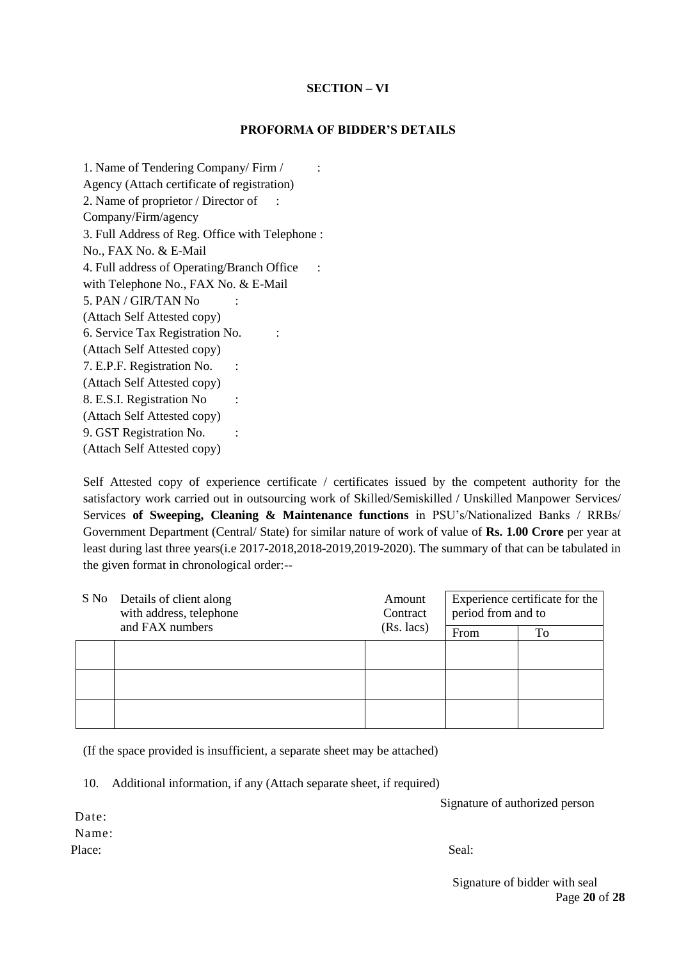## **SECTION – VI**

#### **PROFORMA OF BIDDER'S DETAILS**

1. Name of Tendering Company/ Firm / : Agency (Attach certificate of registration) 2. Name of proprietor / Director of : Company/Firm/agency 3. Full Address of Reg. Office with Telephone : No., FAX No. & E-Mail 4. Full address of Operating/Branch Office : with Telephone No., FAX No. & E-Mail 5. PAN / GIR/TAN No : (Attach Self Attested copy) 6. Service Tax Registration No. : (Attach Self Attested copy) 7. E.P.F. Registration No. : (Attach Self Attested copy) 8. E.S.I. Registration No : (Attach Self Attested copy) 9. GST Registration No. : (Attach Self Attested copy)

Self Attested copy of experience certificate / certificates issued by the competent authority for the satisfactory work carried out in outsourcing work of Skilled/Semiskilled / Unskilled Manpower Services/ Services **of Sweeping, Cleaning & Maintenance functions** in PSU's/Nationalized Banks / RRBs/ Government Department (Central/ State) for similar nature of work of value of **Rs. 1.00 Crore** per year at least during last three years(i.e 2017-2018,2018-2019,2019-2020). The summary of that can be tabulated in the given format in chronological order:--

|  | S No Details of client along<br>Amount<br>with address, telephone<br>Contract<br>and FAX numbers<br>(Rs. lacs) | Experience certificate for the<br>period from and to |    |
|--|----------------------------------------------------------------------------------------------------------------|------------------------------------------------------|----|
|  |                                                                                                                | From                                                 | To |
|  |                                                                                                                |                                                      |    |
|  |                                                                                                                |                                                      |    |
|  |                                                                                                                |                                                      |    |

(If the space provided is insufficient, a separate sheet may be attached)

10. Additional information, if any (Attach separate sheet, if required)

Signature of authorized person

Date: Name: Place: Seal:

Page **20** of **28** Signature of bidder with seal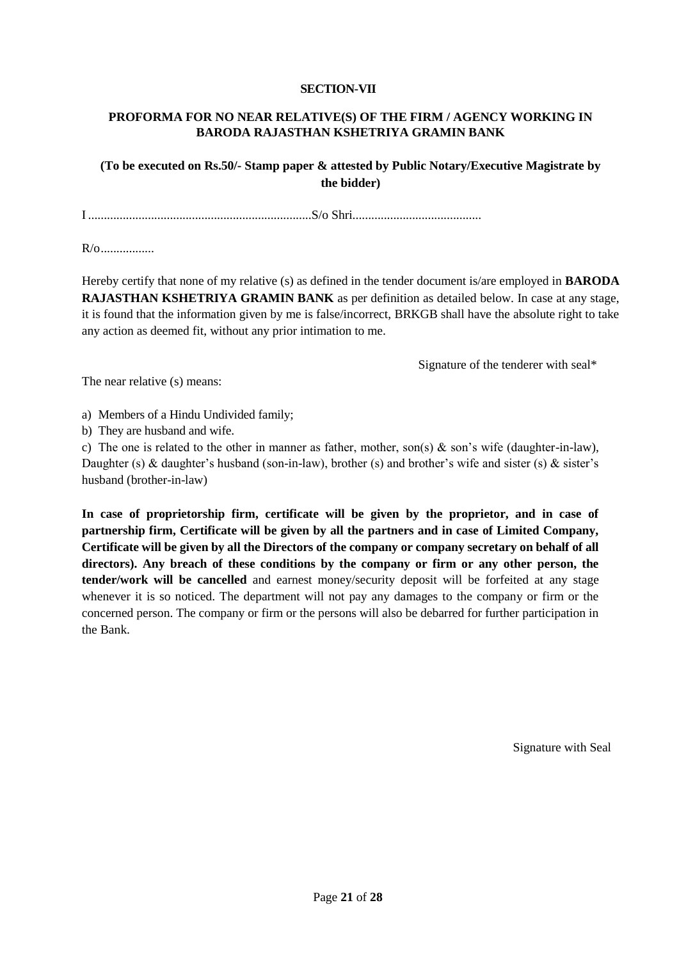## **SECTION-VII**

## **PROFORMA FOR NO NEAR RELATIVE(S) OF THE FIRM / AGENCY WORKING IN BARODA RAJASTHAN KSHETRIYA GRAMIN BANK**

**(To be executed on Rs.50/- Stamp paper & attested by Public Notary/Executive Magistrate by the bidder)**

I .......................................................................S/o Shri.........................................

 $R/\alpha$ 

Hereby certify that none of my relative (s) as defined in the tender document is/are employed in **BARODA RAJASTHAN KSHETRIYA GRAMIN BANK** as per definition as detailed below. In case at any stage, it is found that the information given by me is false/incorrect, BRKGB shall have the absolute right to take any action as deemed fit, without any prior intimation to me.

Signature of the tenderer with seal\*

The near relative (s) means:

a) Members of a Hindu Undivided family;

b) They are husband and wife.

c) The one is related to the other in manner as father, mother, son(s) & son's wife (daughter-in-law), Daughter (s) & daughter's husband (son-in-law), brother (s) and brother's wife and sister (s) & sister's husband (brother-in-law)

**In case of proprietorship firm, certificate will be given by the proprietor, and in case of partnership firm, Certificate will be given by all the partners and in case of Limited Company, Certificate will be given by all the Directors of the company or company secretary on behalf of all directors). Any breach of these conditions by the company or firm or any other person, the tender/work will be cancelled** and earnest money/security deposit will be forfeited at any stage whenever it is so noticed. The department will not pay any damages to the company or firm or the concerned person. The company or firm or the persons will also be debarred for further participation in the Bank.

Signature with Seal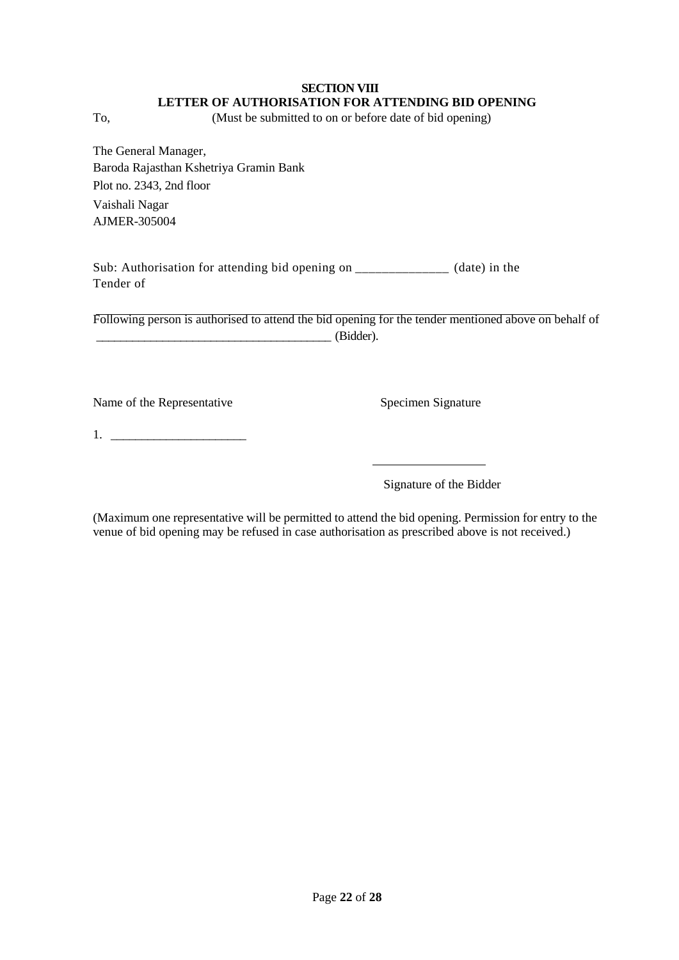## **SECTION VIII LETTER OF AUTHORISATION FOR ATTENDING BID OPENING**

To, (Must be submitted to on or before date of bid opening)

The General Manager, Baroda Rajasthan Kshetriya Gramin Bank Plot no. 2343, 2nd floor Vaishali Nagar AJMER-305004

Sub: Authorisation for attending bid opening on \_\_\_\_\_\_\_\_\_\_\_\_\_\_ (date) in the Tender of

Following person is authorised to attend the bid opening for the tender mentioned above on behalf of \_\_\_\_\_\_\_\_\_\_\_\_\_\_\_\_\_\_\_\_\_\_\_\_\_\_\_\_\_\_\_\_\_\_\_\_\_\_\_ (Bidder).

Name of the Representative Specimen Signature

1. \_\_\_\_\_\_\_\_\_\_\_\_\_\_\_\_\_\_\_\_\_\_

Signature of the Bidder

(Maximum one representative will be permitted to attend the bid opening. Permission for entry to the venue of bid opening may be refused in case authorisation as prescribed above is not received.)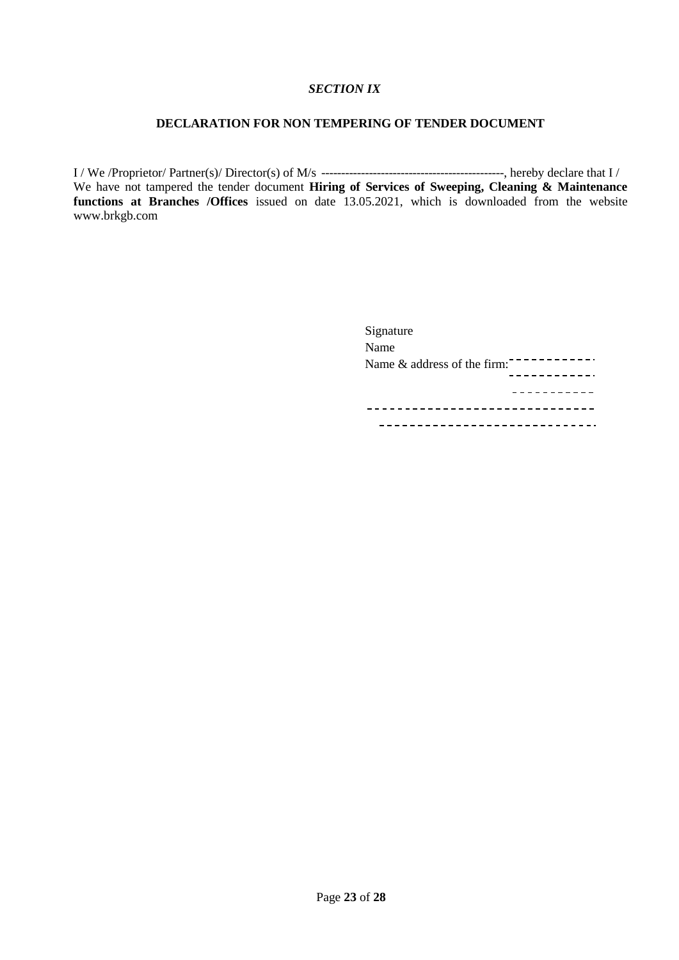#### *SECTION IX*

## **DECLARATION FOR NON TEMPERING OF TENDER DOCUMENT**

I / We /Proprietor/ Partner(s)/ Director(s) of M/s ----------------------------------------------, hereby declare that I / We have not tampered the tender document **Hiring of Services of Sweeping, Cleaning & Maintenance functions at Branches /Offices** issued on date 13.05.2021, which is downloaded from the website www.brkgb.com

| Signature                      |
|--------------------------------|
| Name                           |
| Name $\&$ address of the firm: |
|                                |
|                                |
|                                |
|                                |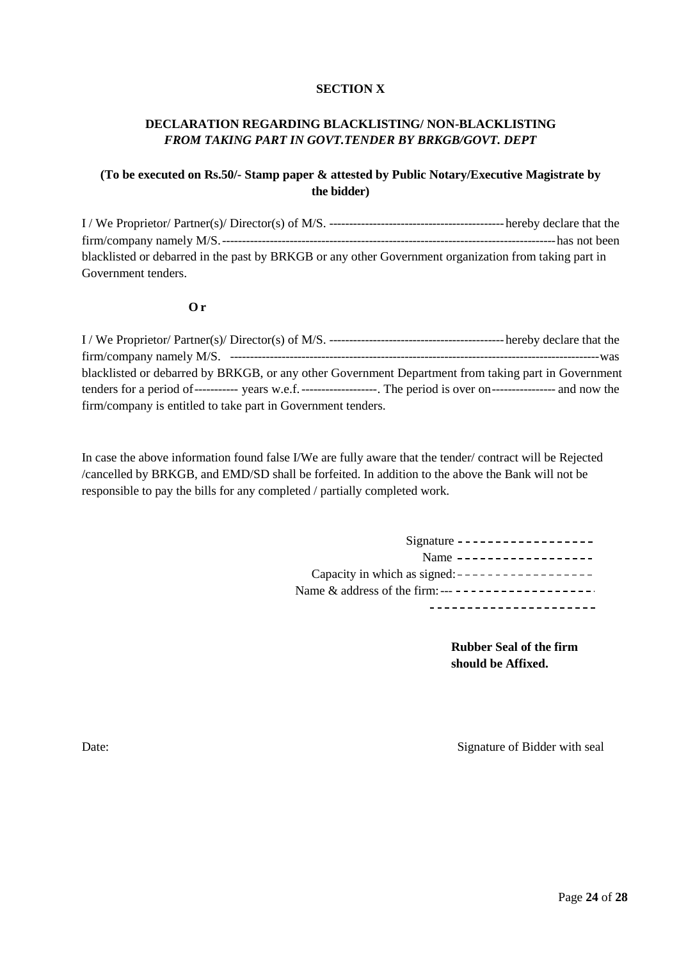#### **SECTION X**

## **DECLARATION REGARDING BLACKLISTING/ NON-BLACKLISTING**  *FROM TAKING PART IN GOVT.TENDER BY BRKGB/GOVT. DEPT*

## **(To be executed on Rs.50/- Stamp paper & attested by Public Notary/Executive Magistrate by the bidder)**

I / We Proprietor/ Partner(s)/ Director(s) of M/S. --------------------------------------------hereby declare that the firm/company namely M/S.------------------------------------------------------------------------------------has not been blacklisted or debarred in the past by BRKGB or any other Government organization from taking part in Government tenders.

#### **O r**

| blacklisted or debarred by BRKGB, or any other Government Department from taking part in Government |  |
|-----------------------------------------------------------------------------------------------------|--|
|                                                                                                     |  |
| firm/company is entitled to take part in Government tenders.                                        |  |

In case the above information found false I/We are fully aware that the tender/ contract will be Rejected /cancelled by BRKGB, and EMD/SD shall be forfeited. In addition to the above the Bank will not be responsible to pay the bills for any completed / partially completed work.

| Signature ------------------                        |
|-----------------------------------------------------|
| Name $------------------$                           |
| Capacity in which as signed: $------------------$   |
| Name & address of the firm: --- ------------------- |
|                                                     |

**Rubber Seal of the firm should be Affixed.**

Date: Signature of Bidder with seal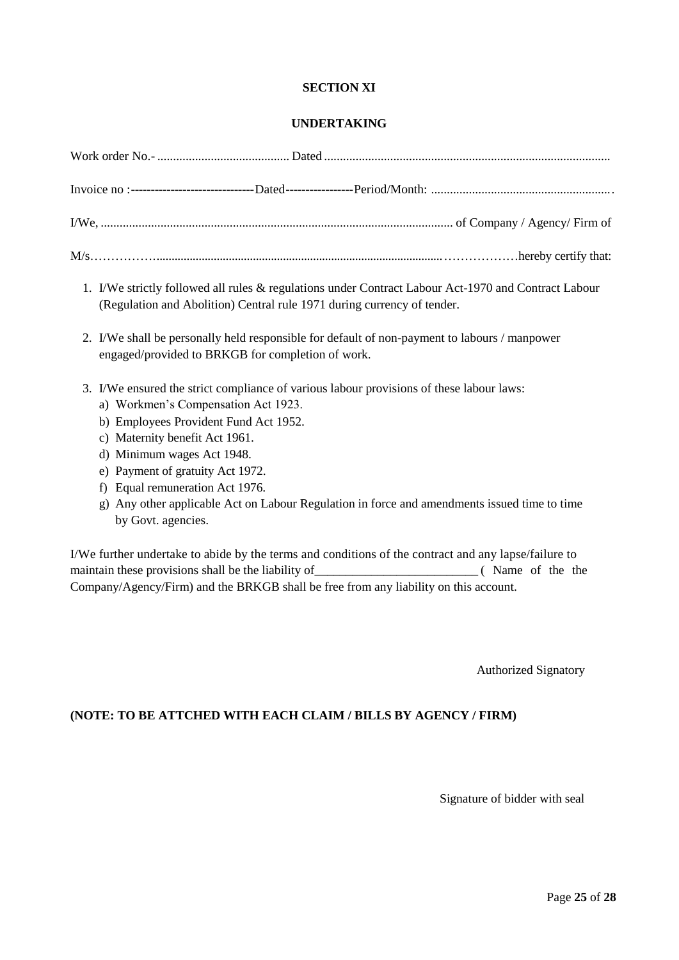#### **SECTION XI**

#### **UNDERTAKING**

- 1. I/We strictly followed all rules & regulations under Contract Labour Act-1970 and Contract Labour (Regulation and Abolition) Central rule 1971 during currency of tender.
- 2. I/We shall be personally held responsible for default of non-payment to labours / manpower engaged/provided to BRKGB for completion of work.
- 3. I/We ensured the strict compliance of various labour provisions of these labour laws:
	- a) Workmen's Compensation Act 1923.
	- b) Employees Provident Fund Act 1952.
	- c) Maternity benefit Act 1961.
	- d) Minimum wages Act 1948.
	- e) Payment of gratuity Act 1972.
	- f) Equal remuneration Act 1976.
	- g) Any other applicable Act on Labour Regulation in force and amendments issued time to time by Govt. agencies.

I/We further undertake to abide by the terms and conditions of the contract and any lapse/failure to maintain these provisions shall be the liability of\_\_\_\_\_\_\_\_\_\_\_\_\_\_\_\_\_\_\_\_\_\_\_\_\_\_ ( Name of the the Company/Agency/Firm) and the BRKGB shall be free from any liability on this account.

Authorized Signatory

#### **(NOTE: TO BE ATTCHED WITH EACH CLAIM / BILLS BY AGENCY / FIRM)**

Signature of bidder with seal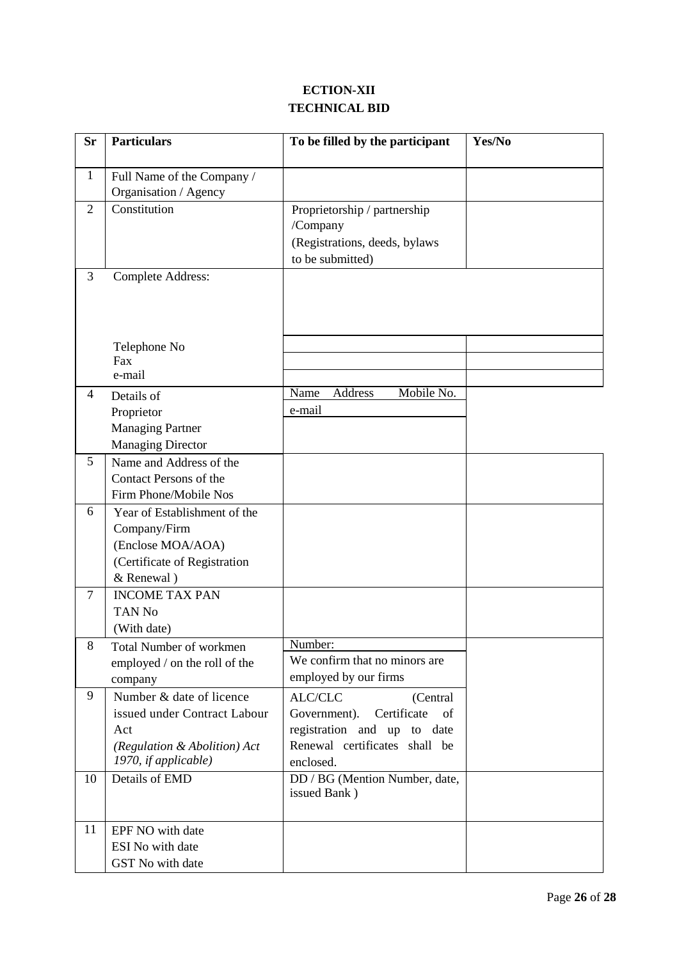## **ECTION-XII TECHNICAL BID**

| <b>Sr</b>      | <b>Particulars</b>                                                                                                      | To be filled by the participant                                                                                                       | Yes/No |
|----------------|-------------------------------------------------------------------------------------------------------------------------|---------------------------------------------------------------------------------------------------------------------------------------|--------|
| $\mathbf{1}$   | Full Name of the Company /<br>Organisation / Agency                                                                     |                                                                                                                                       |        |
| $\overline{2}$ | Constitution                                                                                                            | Proprietorship / partnership<br>/Company<br>(Registrations, deeds, bylaws<br>to be submitted)                                         |        |
| 3              | <b>Complete Address:</b>                                                                                                |                                                                                                                                       |        |
|                | Telephone No<br>Fax<br>e-mail                                                                                           |                                                                                                                                       |        |
| 4              | Details of<br>Proprietor<br><b>Managing Partner</b><br><b>Managing Director</b>                                         | Mobile No.<br>Name<br>Address<br>e-mail                                                                                               |        |
| 5              | Name and Address of the<br>Contact Persons of the<br>Firm Phone/Mobile Nos                                              |                                                                                                                                       |        |
| 6              | Year of Establishment of the<br>Company/Firm<br>(Enclose MOA/AOA)<br>(Certificate of Registration<br>& Renewal)         |                                                                                                                                       |        |
| $\overline{7}$ | <b>INCOME TAX PAN</b><br><b>TAN No</b><br>(With date)                                                                   |                                                                                                                                       |        |
| 8              | <b>Total Number of workmen</b><br>employed / on the roll of the<br>company                                              | Number:<br>We confirm that no minors are<br>employed by our firms                                                                     |        |
| 9              | Number & date of licence<br>issued under Contract Labour<br>Act<br>(Regulation & Abolition) Act<br>1970, if applicable) | ALC/CLC<br>(Central<br>Certificate<br>Government).<br>of<br>registration and up to date<br>Renewal certificates shall be<br>enclosed. |        |
| 10             | Details of EMD                                                                                                          | DD / BG (Mention Number, date,<br>issued Bank)                                                                                        |        |
| 11             | EPF NO with date<br>ESI No with date<br>GST No with date                                                                |                                                                                                                                       |        |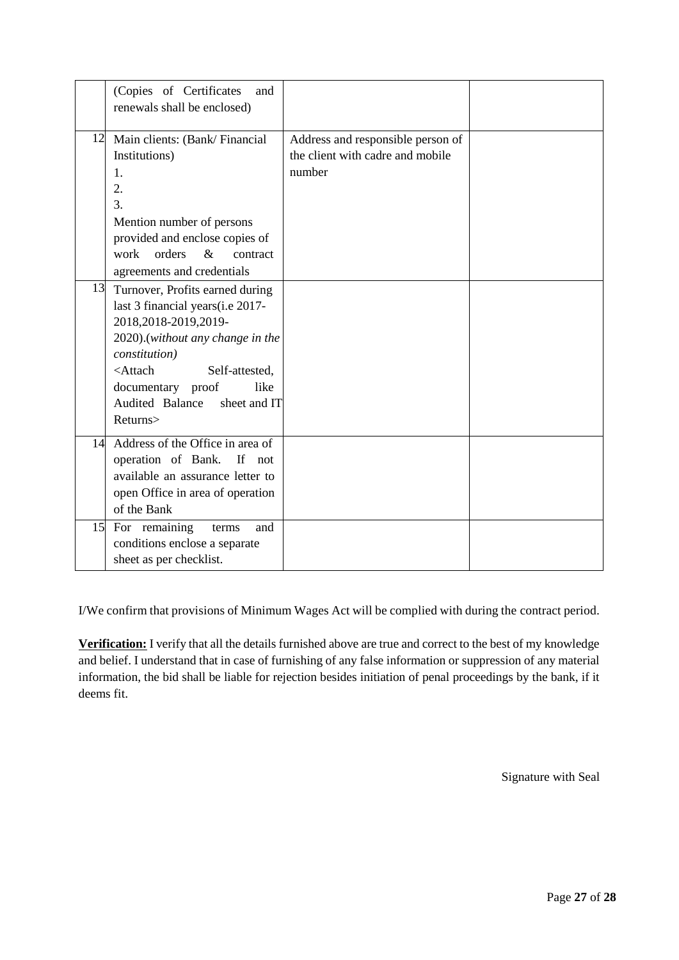|    | (Copies of Certificates<br>and<br>renewals shall be enclosed)                                                                                                                                                                                                                          |                                                                                 |  |
|----|----------------------------------------------------------------------------------------------------------------------------------------------------------------------------------------------------------------------------------------------------------------------------------------|---------------------------------------------------------------------------------|--|
|    | 12 Main clients: (Bank/Financial<br>Institutions)<br>1.<br>2.<br>3.<br>Mention number of persons<br>provided and enclose copies of<br>orders<br>$\&$<br>work<br>contract<br>agreements and credentials                                                                                 | Address and responsible person of<br>the client with cadre and mobile<br>number |  |
| 13 | Turnover, Profits earned during<br>last 3 financial years (i.e 2017-<br>2018,2018-2019,2019-<br>2020).(without any change in the<br><i>constitution</i> )<br><attach<br>Self-attested,<br/>documentary proof<br/>like<br/>Audited Balance<br/>sheet and IT<br/>Returns&gt;</attach<br> |                                                                                 |  |
|    | 14 Address of the Office in area of<br>operation of Bank.<br>If not<br>available an assurance letter to<br>open Office in area of operation<br>of the Bank                                                                                                                             |                                                                                 |  |
|    | 15 For remaining<br>and<br>terms<br>conditions enclose a separate<br>sheet as per checklist.                                                                                                                                                                                           |                                                                                 |  |

I/We confirm that provisions of Minimum Wages Act will be complied with during the contract period.

**Verification:** I verify that all the details furnished above are true and correct to the best of my knowledge and belief. I understand that in case of furnishing of any false information or suppression of any material information, the bid shall be liable for rejection besides initiation of penal proceedings by the bank, if it deems fit.

Signature with Seal